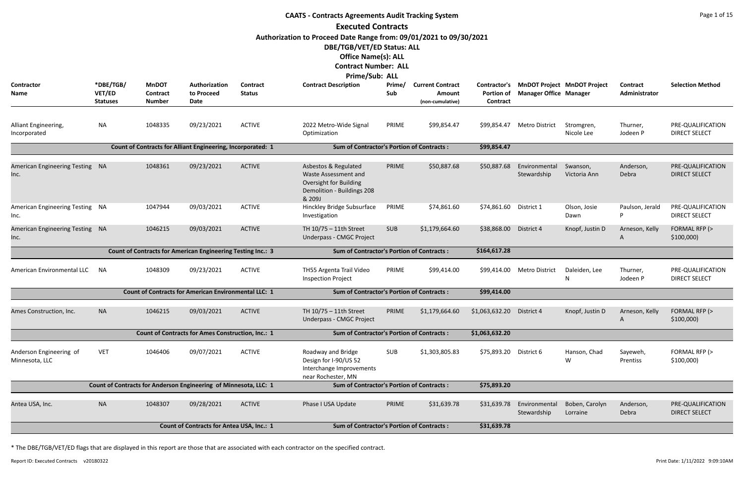|                                             | <b>CAATS - Contracts Agreements Audit Tracking System</b><br><b>Executed Contracts</b> |                                           |                                                                    |                           |                                                                                                                                                                                        |               |                                                       |                                               |                               |                                    |                           |                                           |  |  |
|---------------------------------------------|----------------------------------------------------------------------------------------|-------------------------------------------|--------------------------------------------------------------------|---------------------------|----------------------------------------------------------------------------------------------------------------------------------------------------------------------------------------|---------------|-------------------------------------------------------|-----------------------------------------------|-------------------------------|------------------------------------|---------------------------|-------------------------------------------|--|--|
|                                             |                                                                                        |                                           |                                                                    |                           |                                                                                                                                                                                        |               |                                                       |                                               |                               |                                    |                           |                                           |  |  |
|                                             |                                                                                        |                                           |                                                                    |                           | Authorization to Proceed Date Range from: 09/01/2021 to 09/30/2021<br>DBE/TGB/VET/ED Status: ALL<br><b>Office Name(s): ALL</b><br><b>Contract Number: ALL</b><br><b>Prime/Sub: ALL</b> |               |                                                       |                                               |                               |                                    |                           |                                           |  |  |
| <b>Contractor</b><br>Name                   | *DBE/TGB/<br>VET/ED<br><b>Statuses</b>                                                 | <b>MnDOT</b><br>Contract<br><b>Number</b> | Authorization<br>to Proceed<br>Date                                | Contract<br><b>Status</b> | <b>Contract Description</b>                                                                                                                                                            | Prime/<br>Sub | <b>Current Contract</b><br>Amount<br>(non-cumulative) | Contractor's<br><b>Portion of</b><br>Contract | <b>Manager Office Manager</b> | <b>MnDOT Project MnDOT Project</b> | Contract<br>Administrator | <b>Selection Method</b>                   |  |  |
| Alliant Engineering,<br>Incorporated        | <b>NA</b>                                                                              | 1048335                                   | 09/23/2021                                                         | <b>ACTIVE</b>             | 2022 Metro-Wide Signal<br>Optimization                                                                                                                                                 | PRIME         | \$99,854.47                                           | \$99,854.47                                   | <b>Metro District</b>         | Stromgren,<br>Nicole Lee           | Thurner,<br>Jodeen P      | PRE-QUALIFICATION<br><b>DIRECT SELECT</b> |  |  |
|                                             |                                                                                        |                                           | <b>Count of Contracts for Alliant Engineering, Incorporated: 1</b> |                           | <b>Sum of Contractor's Portion of Contracts:</b>                                                                                                                                       |               |                                                       | \$99,854.47                                   |                               |                                    |                           |                                           |  |  |
| <b>American Engineering Testing</b><br>Inc. | - NA                                                                                   | 1048361                                   | 09/23/2021                                                         | <b>ACTIVE</b>             | Asbestos & Regulated<br>Waste Assessment and<br>Oversight for Building<br>Demolition - Buildings 208<br>& 209J                                                                         | PRIME         | \$50,887.68                                           | \$50,887.68                                   | Environmental<br>Stewardship  | Swanson,<br>Victoria Ann           | Anderson,<br>Debra        | PRE-QUALIFICATION<br><b>DIRECT SELECT</b> |  |  |
| American Engineering Testing NA<br>Inc.     |                                                                                        | 1047944                                   | 09/03/2021                                                         | <b>ACTIVE</b>             | Hinckley Bridge Subsurface<br>Investigation                                                                                                                                            | PRIME         | \$74,861.60                                           | \$74,861.60                                   | District 1                    | Olson, Josie<br>Dawn               | Paulson, Jerald<br>P      | PRE-QUALIFICATION<br><b>DIRECT SELECT</b> |  |  |
| American Engineering Testing NA<br>Inc.     |                                                                                        | 1046215                                   | 09/03/2021                                                         | <b>ACTIVE</b>             | TH 10/75 - 11th Street<br>Underpass - CMGC Project                                                                                                                                     | <b>SUB</b>    | \$1,179,664.60                                        | \$38,868.00                                   | District 4                    | Knopf, Justin D                    | Arneson, Kelly<br>A       | FORMAL RFP (><br>\$100,000                |  |  |
|                                             |                                                                                        |                                           | Count of Contracts for American Engineering Testing Inc.: 3        |                           | <b>Sum of Contractor's Portion of Contracts:</b>                                                                                                                                       |               |                                                       | \$164,617.28                                  |                               |                                    |                           |                                           |  |  |
| American Environmental LLC                  | <b>NA</b>                                                                              | 1048309                                   | 09/23/2021                                                         | <b>ACTIVE</b>             | TH55 Argenta Trail Video<br><b>Inspection Project</b>                                                                                                                                  | PRIME         | \$99,414.00                                           | \$99,414.00                                   | <b>Metro District</b>         | Daleiden, Lee<br>N                 | Thurner,<br>Jodeen P      | PRE-QUALIFICATION<br><b>DIRECT SELECT</b> |  |  |
|                                             |                                                                                        |                                           | <b>Count of Contracts for American Environmental LLC: 1</b>        |                           | <b>Sum of Contractor's Portion of Contracts:</b>                                                                                                                                       |               |                                                       | \$99,414.00                                   |                               |                                    |                           |                                           |  |  |
| Ames Construction, Inc.                     | <b>NA</b>                                                                              | 1046215                                   | 09/03/2021                                                         | <b>ACTIVE</b>             | TH 10/75 - 11th Street<br><b>Underpass - CMGC Project</b>                                                                                                                              | PRIME         | \$1,179,664.60                                        | \$1,063,632.20                                | District 4                    | Knopf, Justin D                    | Arneson, Kelly<br>A       | FORMAL RFP (><br>\$100,000                |  |  |
|                                             |                                                                                        |                                           | <b>Count of Contracts for Ames Construction, Inc.: 1</b>           |                           | <b>Sum of Contractor's Portion of Contracts:</b>                                                                                                                                       |               |                                                       | \$1,063,632.20                                |                               |                                    |                           |                                           |  |  |
| Anderson Engineering of<br>Minnesota, LLC   | <b>VET</b>                                                                             | 1046406                                   | 09/07/2021                                                         | <b>ACTIVE</b>             | Roadway and Bridge<br>Design for I-90/US 52<br>Interchange Improvements<br>near Rochester, MN                                                                                          | <b>SUB</b>    | \$1,303,805.83                                        | \$75,893.20                                   | District 6                    | Hanson, Chad<br>W                  | Sayeweh,<br>Prentiss      | FORMAL RFP (><br>\$100,000                |  |  |
|                                             |                                                                                        |                                           | Count of Contracts for Anderson Engineering of Minnesota, LLC: 1   |                           | <b>Sum of Contractor's Portion of Contracts:</b>                                                                                                                                       |               |                                                       | \$75,893.20                                   |                               |                                    |                           |                                           |  |  |
| Antea USA, Inc.                             | <b>NA</b>                                                                              | 1048307                                   | 09/28/2021                                                         | <b>ACTIVE</b>             | Phase I USA Update                                                                                                                                                                     | PRIME         | \$31,639.78                                           | \$31,639.78                                   | Environmental<br>Stewardship  | Boben, Carolyn<br>Lorraine         | Anderson,<br>Debra        | PRE-QUALIFICATION<br><b>DIRECT SELECT</b> |  |  |
|                                             |                                                                                        |                                           | Count of Contracts for Antea USA, Inc.: 1                          |                           | <b>Sum of Contractor's Portion of Contracts:</b>                                                                                                                                       |               |                                                       | \$31,639.78                                   |                               |                                    |                           |                                           |  |  |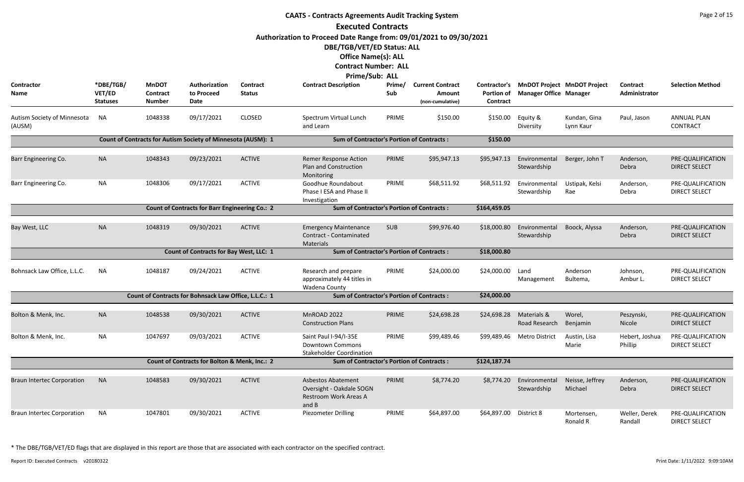|                                       |                                        |                                           |                                                              |                           | <b>CAATS - Contracts Agreements Audit Tracking System</b>                                        |               |                                                       |                                               |                               |                                    |                           | Page 2 of 15                              |
|---------------------------------------|----------------------------------------|-------------------------------------------|--------------------------------------------------------------|---------------------------|--------------------------------------------------------------------------------------------------|---------------|-------------------------------------------------------|-----------------------------------------------|-------------------------------|------------------------------------|---------------------------|-------------------------------------------|
|                                       |                                        |                                           |                                                              |                           | <b>Executed Contracts</b>                                                                        |               |                                                       |                                               |                               |                                    |                           |                                           |
|                                       |                                        |                                           |                                                              |                           | Authorization to Proceed Date Range from: 09/01/2021 to 09/30/2021<br>DBE/TGB/VET/ED Status: ALL |               |                                                       |                                               |                               |                                    |                           |                                           |
|                                       |                                        |                                           |                                                              |                           | <b>Office Name(s): ALL</b>                                                                       |               |                                                       |                                               |                               |                                    |                           |                                           |
|                                       |                                        |                                           |                                                              |                           | <b>Contract Number: ALL</b>                                                                      |               |                                                       |                                               |                               |                                    |                           |                                           |
| Contractor<br>Name                    | *DBE/TGB/<br>VET/ED<br><b>Statuses</b> | <b>MnDOT</b><br>Contract<br><b>Number</b> | Authorization<br>to Proceed<br>Date                          | Contract<br><b>Status</b> | Prime/Sub: ALL<br><b>Contract Description</b>                                                    | Prime/<br>Sub | <b>Current Contract</b><br>Amount<br>(non-cumulative) | Contractor's<br><b>Portion of</b><br>Contract | <b>Manager Office Manager</b> | <b>MnDOT Project MnDOT Project</b> | Contract<br>Administrator | <b>Selection Method</b>                   |
| Autism Society of Minnesota<br>(AUSM) | <b>NA</b>                              | 1048338                                   | 09/17/2021                                                   | <b>CLOSED</b>             | Spectrum Virtual Lunch<br>and Learn                                                              | PRIME         | \$150.00                                              | \$150.00                                      | Equity &<br>Diversity         | Kundan, Gina<br>Lynn Kaur          | Paul, Jason               | <b>ANNUAL PLAN</b><br><b>CONTRACT</b>     |
|                                       |                                        |                                           | Count of Contracts for Autism Society of Minnesota (AUSM): 1 |                           | <b>Sum of Contractor's Portion of Contracts:</b>                                                 |               |                                                       | \$150.00                                      |                               |                                    |                           |                                           |
| Barr Engineering Co.                  | <b>NA</b>                              | 1048343                                   | 09/23/2021                                                   | <b>ACTIVE</b>             | <b>Remer Response Action</b><br><b>Plan and Construction</b><br>Monitoring                       | PRIME         | \$95,947.13                                           | \$95,947.13                                   | Environmental<br>Stewardship  | Berger, John T                     | Anderson,<br>Debra        | PRE-QUALIFICATION<br><b>DIRECT SELECT</b> |
| Barr Engineering Co.                  | <b>NA</b>                              | 1048306                                   | 09/17/2021                                                   | <b>ACTIVE</b>             | Goodhue Roundabout<br>Phase I ESA and Phase II<br>Investigation                                  | PRIME         | \$68,511.92                                           | \$68,511.92                                   | Environmental<br>Stewardship  | Ustipak, Kelsi<br>Rae              | Anderson,<br>Debra        | PRE-QUALIFICATION<br><b>DIRECT SELECT</b> |
|                                       |                                        |                                           | <b>Count of Contracts for Barr Engineering Co.: 2</b>        |                           | <b>Sum of Contractor's Portion of Contracts:</b>                                                 |               |                                                       | \$164,459.05                                  |                               |                                    |                           |                                           |
| Bay West, LLC                         | <b>NA</b>                              | 1048319                                   | 09/30/2021                                                   | <b>ACTIVE</b>             | <b>Emergency Maintenance</b><br>Contract - Contaminated<br>Materials                             | <b>SUB</b>    | \$99,976.40                                           | \$18,000.80                                   | Environmental<br>Stewardship  | Boock, Alyssa                      | Anderson,<br>Debra        | PRE-QUALIFICATION<br><b>DIRECT SELECT</b> |
|                                       |                                        |                                           | <b>Count of Contracts for Bay West, LLC: 1</b>               |                           | <b>Sum of Contractor's Portion of Contracts:</b>                                                 |               |                                                       | \$18,000.80                                   |                               |                                    |                           |                                           |
| Bohnsack Law Office, L.L.C.           | ΝA                                     | 1048187                                   | 09/24/2021                                                   | <b>ACTIVE</b>             | Research and prepare<br>approximately 44 titles in<br>Wadena County                              | PRIME         | \$24,000.00                                           | \$24,000.00                                   | Land<br>Management            | Anderson<br>Bultema,               | Johnson,<br>Ambur L.      | PRE-QUALIFICATION<br><b>DIRECT SELECT</b> |
|                                       |                                        |                                           | Count of Contracts for Bohnsack Law Office, L.L.C.: 1        |                           | <b>Sum of Contractor's Portion of Contracts:</b>                                                 |               |                                                       | \$24,000.00                                   |                               |                                    |                           |                                           |
| Bolton & Menk, Inc.                   | <b>NA</b>                              | 1048538                                   | 09/30/2021                                                   | <b>ACTIVE</b>             | MnROAD 2022<br><b>Construction Plans</b>                                                         | PRIME         | \$24,698.28                                           | \$24,698.28                                   | Materials &<br>Road Research  | Worel,<br>Benjamin                 | Peszynski,<br>Nicole      | PRE-QUALIFICATION<br><b>DIRECT SELECT</b> |
| Bolton & Menk, Inc.                   | <b>NA</b>                              | 1047697                                   | 09/03/2021                                                   | <b>ACTIVE</b>             | Saint Paul I-94/I-35E<br><b>Downtown Commons</b><br><b>Stakeholder Coordination</b>              | PRIME         | \$99,489.46                                           | \$99,489.46                                   | <b>Metro District</b>         | Austin, Lisa<br>Marie              | Hebert, Joshua<br>Phillip | PRE-QUALIFICATION<br><b>DIRECT SELECT</b> |
|                                       |                                        |                                           | Count of Contracts for Bolton & Menk, Inc.: 2                |                           | <b>Sum of Contractor's Portion of Contracts:</b>                                                 |               |                                                       | \$124,187.74                                  |                               |                                    |                           |                                           |
| <b>Braun Intertec Corporation</b>     | <b>NA</b>                              | 1048583                                   | 09/30/2021                                                   | <b>ACTIVE</b>             | <b>Asbestos Abatement</b><br>Oversight - Oakdale SOGN<br><b>Restroom Work Areas A</b><br>and B   | PRIME         | \$8,774.20                                            | \$8,774.20                                    | Environmental<br>Stewardship  | Neisse, Jeffrey<br>Michael         | Anderson,<br>Debra        | PRE-QUALIFICATION<br><b>DIRECT SELECT</b> |
| <b>Braun Intertec Corporation</b>     | <b>NA</b>                              | 1047801                                   | 09/30/2021                                                   | <b>ACTIVE</b>             | Piezometer Drilling                                                                              | PRIME         | \$64,897.00                                           | \$64,897.00 District 8                        |                               | Mortensen,<br>Ronald R             | Weller, Derek<br>Randall  | PRE-QUALIFICATION<br><b>DIRECT SELECT</b> |

Report ID: Executed Contracts v20180322 9:09:10AM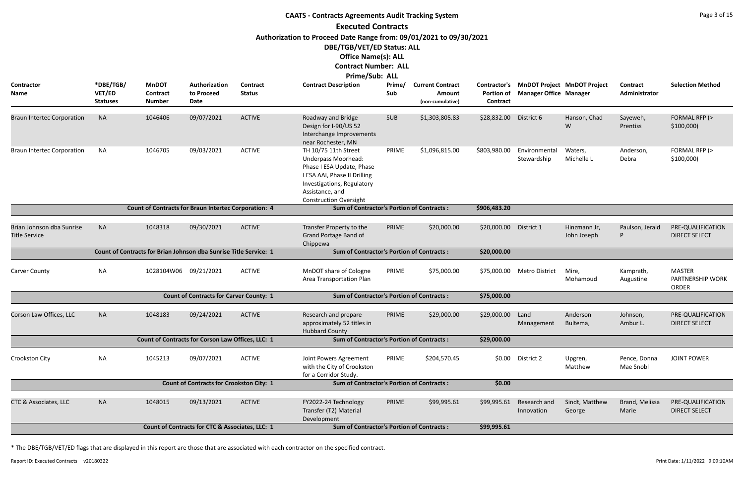|                                                   |                                        |                                                                   |                                                   |                                  | <b>CAATS - Contracts Agreements Audit Tracking System</b>                                                                                                                                         |               |                                                              |                               |                               |                                          |                                  | Page 3 of 15                                      |
|---------------------------------------------------|----------------------------------------|-------------------------------------------------------------------|---------------------------------------------------|----------------------------------|---------------------------------------------------------------------------------------------------------------------------------------------------------------------------------------------------|---------------|--------------------------------------------------------------|-------------------------------|-------------------------------|------------------------------------------|----------------------------------|---------------------------------------------------|
|                                                   |                                        |                                                                   |                                                   |                                  | <b>Executed Contracts</b>                                                                                                                                                                         |               |                                                              |                               |                               |                                          |                                  |                                                   |
|                                                   |                                        |                                                                   |                                                   |                                  | Authorization to Proceed Date Range from: 09/01/2021 to 09/30/2021<br>DBE/TGB/VET/ED Status: ALL<br><b>Office Name(s): ALL</b><br><b>Contract Number: ALL</b><br>Prime/Sub: ALL                   |               |                                                              |                               |                               |                                          |                                  |                                                   |
| <b>Contractor</b><br><b>Name</b>                  | *DBE/TGB/<br>VET/ED<br><b>Statuses</b> | <b>MnDOT</b><br><b>Contract</b><br><b>Number</b>                  | Authorization<br>to Proceed<br>Date               | <b>Contract</b><br><b>Status</b> | <b>Contract Description</b>                                                                                                                                                                       | Prime/<br>Sub | <b>Current Contract</b><br><b>Amount</b><br>(non-cumulative) | <b>Portion of</b><br>Contract | <b>Manager Office Manager</b> | Contractor's MnDOT Project MnDOT Project | <b>Contract</b><br>Administrator | <b>Selection Method</b>                           |
| <b>Braun Intertec Corporation</b>                 | <b>NA</b>                              | 1046406                                                           | 09/07/2021                                        | <b>ACTIVE</b>                    | Roadway and Bridge<br>Design for I-90/US 52<br>Interchange Improvements<br>near Rochester, MN                                                                                                     | <b>SUB</b>    | \$1,303,805.83                                               | \$28,832.00                   | District 6                    | Hanson, Chad<br>W                        | Sayeweh,<br>Prentiss             | FORMAL RFP (><br>$$100,000$ )                     |
| <b>Braun Intertec Corporation</b>                 | <b>NA</b>                              | 1046705                                                           | 09/03/2021                                        | <b>ACTIVE</b>                    | TH 10/75 11th Street<br><b>Underpass Moorhead:</b><br>Phase I ESA Update, Phase<br>I ESA AAI, Phase II Drilling<br>Investigations, Regulatory<br>Assistance, and<br><b>Construction Oversight</b> | PRIME         | \$1,096,815.00                                               | \$803,980.00                  | Environmental<br>Stewardship  | Waters,<br>Michelle L                    | Anderson,<br>Debra               | FORMAL RFP (><br>\$100,000)                       |
|                                                   |                                        | <b>Count of Contracts for Braun Intertec Corporation: 4</b>       |                                                   |                                  | <b>Sum of Contractor's Portion of Contracts:</b>                                                                                                                                                  |               |                                                              | \$906,483.20                  |                               |                                          |                                  |                                                   |
| Brian Johnson dba Sunrise<br><b>Title Service</b> | <b>NA</b>                              | 1048318                                                           | 09/30/2021                                        | <b>ACTIVE</b>                    | Transfer Property to the<br>Grand Portage Band of<br>Chippewa                                                                                                                                     | PRIME         | \$20,000.00                                                  | \$20,000.00                   | District 1                    | Hinzmann Jr,<br>John Joseph              | Paulson, Jerald<br>P             | PRE-QUALIFICATION<br><b>DIRECT SELECT</b>         |
|                                                   |                                        | Count of Contracts for Brian Johnson dba Sunrise Title Service: 1 |                                                   |                                  | <b>Sum of Contractor's Portion of Contracts:</b>                                                                                                                                                  |               |                                                              | \$20,000.00                   |                               |                                          |                                  |                                                   |
| <b>Carver County</b>                              | <b>NA</b>                              | 1028104W06 09/21/2021                                             |                                                   | <b>ACTIVE</b>                    | MnDOT share of Cologne<br>Area Transportation Plan                                                                                                                                                | PRIME         | \$75,000.00                                                  | \$75,000.00                   | <b>Metro District</b>         | Mire,<br>Mohamoud                        | Kamprath,<br>Augustine           | <b>MASTER</b><br>PARTNERSHIP WORK<br><b>ORDER</b> |
|                                                   |                                        |                                                                   | <b>Count of Contracts for Carver County: 1</b>    |                                  | <b>Sum of Contractor's Portion of Contracts:</b>                                                                                                                                                  |               |                                                              | \$75,000.00                   |                               |                                          |                                  |                                                   |
| Corson Law Offices, LLC                           | <b>NA</b>                              | 1048183                                                           | 09/24/2021                                        | <b>ACTIVE</b>                    | Research and prepare<br>approximately 52 titles in<br><b>Hubbard County</b>                                                                                                                       | PRIME         | \$29,000.00                                                  | \$29,000.00                   | Land<br>Management            | Anderson<br>Bultema,                     | Johnson,<br>Ambur L.             | PRE-QUALIFICATION<br><b>DIRECT SELECT</b>         |
|                                                   |                                        |                                                                   | Count of Contracts for Corson Law Offices, LLC: 1 |                                  | <b>Sum of Contractor's Portion of Contracts:</b>                                                                                                                                                  |               |                                                              | \$29,000.00                   |                               |                                          |                                  |                                                   |
| Crookston City                                    | <b>NA</b>                              | 1045213                                                           | 09/07/2021                                        | <b>ACTIVE</b>                    | Joint Powers Agreement<br>with the City of Crookston<br>for a Corridor Study.                                                                                                                     | PRIME         | \$204,570.45                                                 | \$0.00                        | District 2                    | Upgren,<br>Matthew                       | Pence, Donna<br>Mae Snobl        | <b>JOINT POWER</b>                                |
|                                                   |                                        |                                                                   | <b>Count of Contracts for Crookston City: 1</b>   |                                  | <b>Sum of Contractor's Portion of Contracts:</b>                                                                                                                                                  |               |                                                              | \$0.00                        |                               |                                          |                                  |                                                   |
| CTC & Associates, LLC                             | <b>NA</b>                              | 1048015                                                           | 09/13/2021                                        | <b>ACTIVE</b>                    | FY2022-24 Technology<br>Transfer (T2) Material<br>Development                                                                                                                                     | PRIME         | \$99,995.61                                                  | \$99,995.61                   | Research and<br>Innovation    | Sindt, Matthew<br>George                 | Brand, Melissa<br>Marie          | PRE-QUALIFICATION<br><b>DIRECT SELECT</b>         |
|                                                   |                                        |                                                                   | Count of Contracts for CTC & Associates, LLC: 1   |                                  | <b>Sum of Contractor's Portion of Contracts:</b>                                                                                                                                                  |               |                                                              | \$99,995.61                   |                               |                                          |                                  |                                                   |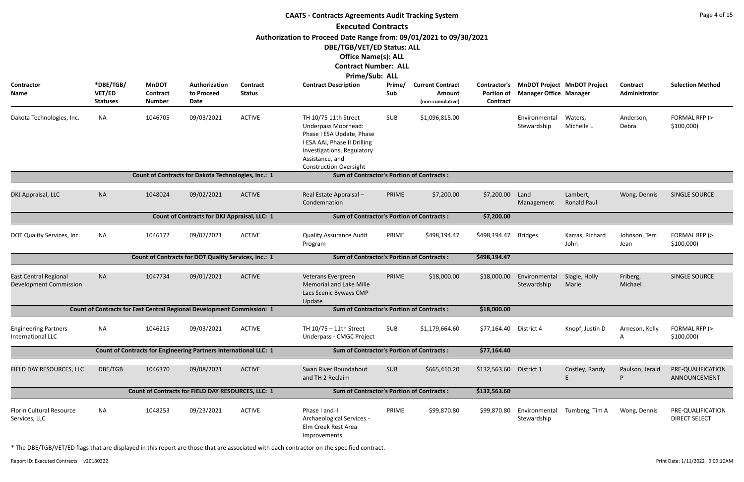|                                                         |                                        |                                           |                                                                        |                                  | <b>CAATS - Contracts Agreements Audit Tracking System</b>                                                                                                                                         |               |                                                       |                               |                                                                           |                                |                             | Page 4 of 15                              |
|---------------------------------------------------------|----------------------------------------|-------------------------------------------|------------------------------------------------------------------------|----------------------------------|---------------------------------------------------------------------------------------------------------------------------------------------------------------------------------------------------|---------------|-------------------------------------------------------|-------------------------------|---------------------------------------------------------------------------|--------------------------------|-----------------------------|-------------------------------------------|
|                                                         |                                        |                                           |                                                                        |                                  | <b>Executed Contracts</b>                                                                                                                                                                         |               |                                                       |                               |                                                                           |                                |                             |                                           |
|                                                         |                                        |                                           |                                                                        |                                  | Authorization to Proceed Date Range from: 09/01/2021 to 09/30/2021                                                                                                                                |               |                                                       |                               |                                                                           |                                |                             |                                           |
|                                                         |                                        |                                           |                                                                        |                                  | DBE/TGB/VET/ED Status: ALL                                                                                                                                                                        |               |                                                       |                               |                                                                           |                                |                             |                                           |
|                                                         |                                        |                                           |                                                                        |                                  | <b>Office Name(s): ALL</b>                                                                                                                                                                        |               |                                                       |                               |                                                                           |                                |                             |                                           |
|                                                         |                                        |                                           |                                                                        |                                  | <b>Contract Number: ALL</b>                                                                                                                                                                       |               |                                                       |                               |                                                                           |                                |                             |                                           |
|                                                         |                                        |                                           |                                                                        |                                  | Prime/Sub: ALL                                                                                                                                                                                    |               |                                                       |                               |                                                                           |                                |                             |                                           |
| Contractor<br>Name                                      | *DBE/TGB/<br>VET/ED<br><b>Statuses</b> | <b>MnDOT</b><br>Contract<br><b>Number</b> | Authorization<br>to Proceed<br>Date                                    | <b>Contract</b><br><b>Status</b> | <b>Contract Description</b>                                                                                                                                                                       | Prime/<br>Sub | <b>Current Contract</b><br>Amount<br>(non-cumulative) | <b>Portion of</b><br>Contract | Contractor's MnDOT Project MnDOT Project<br><b>Manager Office Manager</b> |                                | Contract<br>Administrator   | <b>Selection Method</b>                   |
| Dakota Technologies, Inc.                               | <b>NA</b>                              | 1046705                                   | 09/03/2021                                                             | <b>ACTIVE</b>                    | TH 10/75 11th Street<br><b>Underpass Moorhead:</b><br>Phase I ESA Update, Phase<br>I ESA AAI, Phase II Drilling<br>Investigations, Regulatory<br>Assistance, and<br><b>Construction Oversight</b> | SUB           | \$1,096,815.00                                        |                               | Environmental<br>Stewardship                                              | Waters,<br>Michelle L          | Anderson,<br>Debra          | FORMAL RFP (><br>\$100,000                |
|                                                         |                                        |                                           | Count of Contracts for Dakota Technologies, Inc.: 1                    |                                  | <b>Sum of Contractor's Portion of Contracts:</b>                                                                                                                                                  |               |                                                       |                               |                                                                           |                                |                             |                                           |
| DKJ Appraisal, LLC                                      | <b>NA</b>                              | 1048024                                   | 09/02/2021                                                             | <b>ACTIVE</b>                    | Real Estate Appraisal -<br>Condemnation                                                                                                                                                           | PRIME         | \$7,200.00                                            | \$7,200.00                    | Land<br>Management                                                        | Lambert,<br><b>Ronald Paul</b> | Wong, Dennis                | SINGLE SOURCE                             |
|                                                         |                                        |                                           | Count of Contracts for DKJ Appraisal, LLC: 1                           |                                  | <b>Sum of Contractor's Portion of Contracts:</b>                                                                                                                                                  |               |                                                       | \$7,200.00                    |                                                                           |                                |                             |                                           |
| DOT Quality Services, Inc.                              | NA                                     | 1046172                                   | 09/07/2021                                                             | <b>ACTIVE</b>                    | <b>Quality Assurance Audit</b><br>Program                                                                                                                                                         | PRIME         | \$498,194.47                                          | \$498,194.47                  | <b>Bridges</b>                                                            | Karras, Richard<br>John        | Johnson, Terri<br>Jean      | FORMAL RFP (><br>\$100,000                |
|                                                         |                                        |                                           | Count of Contracts for DOT Quality Services, Inc.: 1                   |                                  | <b>Sum of Contractor's Portion of Contracts:</b>                                                                                                                                                  |               |                                                       | \$498,194.47                  |                                                                           |                                |                             |                                           |
|                                                         |                                        |                                           |                                                                        |                                  |                                                                                                                                                                                                   |               |                                                       |                               |                                                                           |                                |                             |                                           |
| <b>East Central Regional</b><br>Development Commission  | <b>NA</b>                              | 1047734                                   | 09/01/2021                                                             | <b>ACTIVE</b>                    | Veterans Evergreen<br>Memorial and Lake Mille<br>Lacs Scenic Byways CMP<br>Update                                                                                                                 | PRIME         | \$18,000.00                                           | \$18,000.00                   | Environmental Slagle, Holly<br>Stewardship Marie                          |                                | Friberg,<br>Michael         | SINGLE SOURCE                             |
|                                                         |                                        |                                           | Count of Contracts for East Central Regional Development Commission: 1 |                                  | <b>Sum of Contractor's Portion of Contracts:</b>                                                                                                                                                  |               |                                                       | \$18,000.00                   |                                                                           |                                |                             |                                           |
| <b>Engineering Partners</b><br><b>International LLC</b> | <b>NA</b>                              | 1046215                                   | 09/03/2021                                                             | <b>ACTIVE</b>                    | TH 10/75 - 11th Street<br>Underpass - CMGC Project                                                                                                                                                | SUB           | \$1,179,664.60                                        | \$77,164.40 District 4        |                                                                           | Knopf, Justin D                | Arneson, Kelly<br>A         | FORMAL RFP (><br>\$100,000                |
|                                                         |                                        |                                           | Count of Contracts for Engineering Partners International LLC: 1       |                                  | <b>Sum of Contractor's Portion of Contracts:</b>                                                                                                                                                  |               |                                                       | \$77,164.40                   |                                                                           |                                |                             |                                           |
| FIELD DAY RESOURCES, LLC                                | DBE/TGB                                | 1046370                                   | 09/08/2021                                                             | <b>ACTIVE</b>                    | Swan River Roundabout<br>and TH 2 Reclaim                                                                                                                                                         | SUB           | \$665,410.20                                          | \$132,563.60 District 1       |                                                                           | Costley, Randy                 | Paulson, Jerald<br><b>D</b> | PRE-QUALIFICATION<br>ANNOUNCEMENT         |
|                                                         |                                        |                                           | Count of Contracts for FIELD DAY RESOURCES, LLC: 1                     |                                  | <b>Sum of Contractor's Portion of Contracts:</b>                                                                                                                                                  |               |                                                       | \$132,563.60                  |                                                                           |                                |                             |                                           |
| Florin Cultural Resource<br>Services, LLC               | <b>NA</b>                              | 1048253                                   | 09/23/2021                                                             | <b>ACTIVE</b>                    | Phase I and II<br>Archaeological Services -<br>Elm Creek Rest Area<br>Improvements                                                                                                                | PRIME         | \$99,870.80                                           | \$99,870.80                   | Environmental<br>Stewardship                                              | Tumberg, Tim A                 | Wong, Dennis                | PRE-QUALIFICATION<br><b>DIRECT SELECT</b> |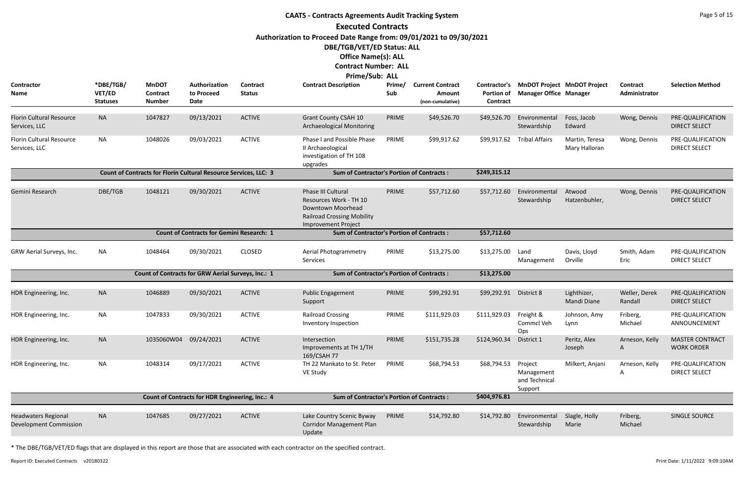|                                                             |                                        |                                                                         |                                                  |                                  | <b>CAATS - Contracts Agreements Audit Tracking System</b>                                                                                                                       |               |                                                       |                                                      |                                                   |                                    |                           | Page 5 of 15                                |
|-------------------------------------------------------------|----------------------------------------|-------------------------------------------------------------------------|--------------------------------------------------|----------------------------------|---------------------------------------------------------------------------------------------------------------------------------------------------------------------------------|---------------|-------------------------------------------------------|------------------------------------------------------|---------------------------------------------------|------------------------------------|---------------------------|---------------------------------------------|
|                                                             |                                        |                                                                         |                                                  |                                  | <b>Executed Contracts</b>                                                                                                                                                       |               |                                                       |                                                      |                                                   |                                    |                           |                                             |
|                                                             |                                        |                                                                         |                                                  |                                  | Authorization to Proceed Date Range from: 09/01/2021 to 09/30/2021<br>DBE/TGB/VET/ED Status: ALL<br><b>Office Name(s): ALL</b><br><b>Contract Number: ALL</b><br>Prime/Sub: ALL |               |                                                       |                                                      |                                                   |                                    |                           |                                             |
| Contractor<br>Name                                          | *DBE/TGB/<br>VET/ED<br><b>Statuses</b> | <b>MnDOT</b><br>Contract<br><b>Number</b>                               | Authorization<br>to Proceed<br>Date              | <b>Contract</b><br><b>Status</b> | <b>Contract Description</b>                                                                                                                                                     | Prime/<br>Sub | <b>Current Contract</b><br>Amount<br>(non-cumulative) | <b>Contractor's</b><br><b>Portion of</b><br>Contract | <b>Manager Office Manager</b>                     | <b>MnDOT Project MnDOT Project</b> | Contract<br>Administrator | <b>Selection Method</b>                     |
| <b>Florin Cultural Resource</b><br>Services, LLC            | <b>NA</b>                              | 1047827                                                                 | 09/13/2021                                       | <b>ACTIVE</b>                    | <b>Grant County CSAH 10</b><br><b>Archaeological Monitoring</b>                                                                                                                 | PRIME         | \$49,526.70                                           | \$49,526.70                                          | Environmental<br>Stewardship                      | Foss, Jacob<br>Edward              | Wong, Dennis              | PRE-QUALIFICATION<br><b>DIRECT SELECT</b>   |
| Florin Cultural Resource<br>Services, LLC                   | <b>NA</b>                              | 1048026                                                                 | 09/03/2021                                       | <b>ACTIVE</b>                    | Phase I and Possible Phase<br>II Archaeological<br>investigation of TH 108<br>upgrades                                                                                          | PRIME         | \$99,917.62                                           | \$99,917.62                                          | <b>Tribal Affairs</b>                             | Martin, Teresa<br>Mary Halloran    | Wong, Dennis              | PRE-QUALIFICATION<br><b>DIRECT SELECT</b>   |
|                                                             |                                        | <b>Count of Contracts for Florin Cultural Resource Services, LLC: 3</b> |                                                  |                                  | <b>Sum of Contractor's Portion of Contracts:</b>                                                                                                                                |               |                                                       | \$249,315.12                                         |                                                   |                                    |                           |                                             |
| Gemini Research                                             | DBE/TGB                                | 1048121                                                                 | 09/30/2021                                       | <b>ACTIVE</b>                    | Phase III Cultural<br>Resources Work - TH 10<br>Downtown Moorhead<br><b>Railroad Crossing Mobility</b><br>Improvement Project                                                   | PRIME         | \$57,712.60                                           | \$57,712.60                                          | Environmental<br>Stewardship                      | Atwood<br>Hatzenbuhler,            | Wong, Dennis              | PRE-QUALIFICATION<br><b>DIRECT SELECT</b>   |
|                                                             |                                        |                                                                         | <b>Count of Contracts for Gemini Research: 1</b> |                                  | <b>Sum of Contractor's Portion of Contracts:</b>                                                                                                                                |               |                                                       | \$57,712.60                                          |                                                   |                                    |                           |                                             |
| GRW Aerial Surveys, Inc.                                    | <b>NA</b>                              | 1048464                                                                 | 09/30/2021                                       | <b>CLOSED</b>                    | Aerial Photogrammetry<br>Services                                                                                                                                               | PRIME         | \$13,275.00                                           | \$13,275.00                                          | Land<br>Management                                | Davis, Lloyd<br>Orville            | Smith, Adam<br>Eric       | PRE-QUALIFICATION<br><b>DIRECT SELECT</b>   |
|                                                             |                                        | Count of Contracts for GRW Aerial Surveys, Inc.: 1                      |                                                  |                                  | <b>Sum of Contractor's Portion of Contracts:</b>                                                                                                                                |               |                                                       | \$13,275.00                                          |                                                   |                                    |                           |                                             |
| HDR Engineering, Inc.                                       | <b>NA</b>                              | 1046889                                                                 | 09/30/2021                                       | <b>ACTIVE</b>                    | <b>Public Engagement</b><br>Support                                                                                                                                             | PRIME         | \$99,292.91                                           | \$99,292.91                                          | District 8                                        | Lighthizer,<br>Mandi Diane         | Weller, Derek<br>Randall  | PRE-QUALIFICATION<br><b>DIRECT SELECT</b>   |
| HDR Engineering, Inc.                                       | <b>NA</b>                              | 1047833                                                                 | 09/30/2021                                       | <b>ACTIVE</b>                    | <b>Railroad Crossing</b><br>Inventory Inspection                                                                                                                                | PRIME         | \$111,929.03                                          | \$111,929.03                                         | Freight &<br>Commcl Veh<br>Ops                    | Johnson, Amy<br>Lynn               | Friberg,<br>Michael       | PRE-QUALIFICATION<br>ANNOUNCEMENT           |
| HDR Engineering, Inc.                                       | <b>NA</b>                              | 1035060W04                                                              | 09/24/2021                                       | <b>ACTIVE</b>                    | Intersection<br>Improvements at TH 1/TH<br>169/CSAH 77                                                                                                                          | PRIME         | \$151,735.28                                          | \$124,960.34                                         | District 1                                        | Peritz, Alex<br>Joseph             | Arneson, Kelly<br>A       | <b>MASTER CONTRACT</b><br><b>WORK ORDER</b> |
| HDR Engineering, Inc.                                       | <b>NA</b>                              | 1048314                                                                 | 09/17/2021                                       | <b>ACTIVE</b>                    | TH 22 Mankato to St. Peter<br>VE Study                                                                                                                                          | PRIME         | \$68,794.53                                           | \$68,794.53                                          | Project<br>Management<br>and Technical<br>Support | Milkert, Anjani                    | Arneson, Kelly<br>A       | PRE-QUALIFICATION<br><b>DIRECT SELECT</b>   |
|                                                             |                                        |                                                                         | Count of Contracts for HDR Engineering, Inc.: 4  |                                  | <b>Sum of Contractor's Portion of Contracts:</b>                                                                                                                                |               |                                                       | \$404,976.81                                         |                                                   |                                    |                           |                                             |
| <b>Headwaters Regional</b><br><b>Development Commission</b> | <b>NA</b>                              | 1047685                                                                 | 09/27/2021                                       | <b>ACTIVE</b>                    | Lake Country Scenic Byway<br><b>Corridor Management Plan</b><br>Update                                                                                                          | PRIME         | \$14,792.80                                           | \$14,792.80                                          | Environmental<br>Stewardship                      | Slagle, Holly<br>Marie             | Friberg,<br>Michael       | SINGLE SOURCE                               |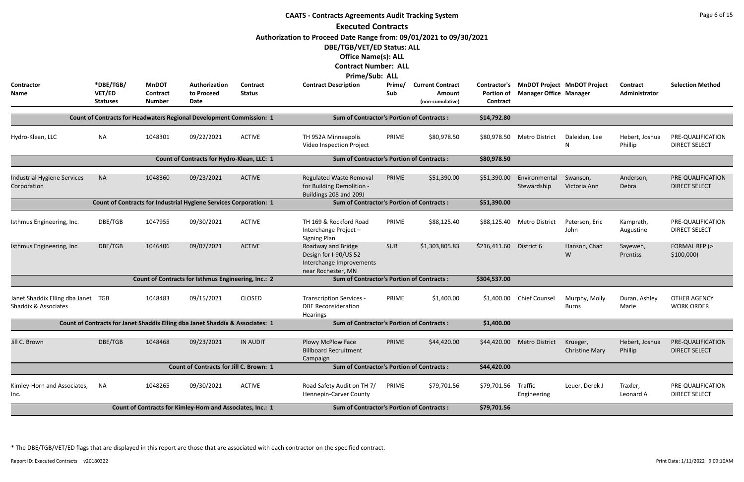|                                                            |                                        |                                           |                                                                               |                                  | <b>CAATS - Contracts Agreements Audit Tracking System</b>                                     |               |                                                       |                                                             |                                                                     |                                   |                                  | Page 6 of 15                              |
|------------------------------------------------------------|----------------------------------------|-------------------------------------------|-------------------------------------------------------------------------------|----------------------------------|-----------------------------------------------------------------------------------------------|---------------|-------------------------------------------------------|-------------------------------------------------------------|---------------------------------------------------------------------|-----------------------------------|----------------------------------|-------------------------------------------|
|                                                            |                                        |                                           |                                                                               |                                  | <b>Executed Contracts</b>                                                                     |               |                                                       |                                                             |                                                                     |                                   |                                  |                                           |
|                                                            |                                        |                                           |                                                                               |                                  | Authorization to Proceed Date Range from: 09/01/2021 to 09/30/2021                            |               |                                                       |                                                             |                                                                     |                                   |                                  |                                           |
|                                                            |                                        |                                           |                                                                               |                                  | DBE/TGB/VET/ED Status: ALL                                                                    |               |                                                       |                                                             |                                                                     |                                   |                                  |                                           |
|                                                            |                                        |                                           |                                                                               |                                  | <b>Office Name(s): ALL</b>                                                                    |               |                                                       |                                                             |                                                                     |                                   |                                  |                                           |
|                                                            |                                        |                                           |                                                                               |                                  | <b>Contract Number: ALL</b>                                                                   |               |                                                       |                                                             |                                                                     |                                   |                                  |                                           |
|                                                            |                                        |                                           |                                                                               |                                  | <b>Prime/Sub: ALL</b>                                                                         |               |                                                       |                                                             |                                                                     |                                   |                                  |                                           |
| <b>Contractor</b><br>Name                                  | *DBE/TGB/<br>VET/ED<br><b>Statuses</b> | <b>MnDOT</b><br>Contract<br><b>Number</b> | Authorization<br>to Proceed<br><b>Date</b>                                    | <b>Contract</b><br><b>Status</b> | <b>Contract Description</b>                                                                   | Prime/<br>Sub | <b>Current Contract</b><br>Amount<br>(non-cumulative) | <b>Contractor's</b><br><b>Portion of</b><br><b>Contract</b> | <b>MnDOT Project MnDOT Project</b><br><b>Manager Office Manager</b> |                                   | <b>Contract</b><br>Administrator | <b>Selection Method</b>                   |
|                                                            |                                        |                                           | Count of Contracts for Headwaters Regional Development Commission: 1          |                                  | <b>Sum of Contractor's Portion of Contracts:</b>                                              |               |                                                       | \$14,792.80                                                 |                                                                     |                                   |                                  |                                           |
| Hydro-Klean, LLC                                           | <b>NA</b>                              | 1048301                                   | 09/22/2021                                                                    | <b>ACTIVE</b>                    | TH 952A Minneapolis                                                                           | PRIME         | \$80,978.50                                           |                                                             | \$80,978.50 Metro District                                          | Daleiden, Lee                     | Hebert, Joshua                   | PRE-QUALIFICATION                         |
|                                                            |                                        |                                           |                                                                               |                                  | Video Inspection Project                                                                      |               |                                                       |                                                             |                                                                     |                                   | Phillip                          | <b>DIRECT SELECT</b>                      |
|                                                            |                                        |                                           | Count of Contracts for Hydro-Klean, LLC: 1                                    |                                  | <b>Sum of Contractor's Portion of Contracts:</b>                                              |               |                                                       | \$80,978.50                                                 |                                                                     |                                   |                                  |                                           |
| Industrial Hygiene Services                                | <b>NA</b>                              | 1048360                                   | 09/23/2021                                                                    | <b>ACTIVE</b>                    | <b>Regulated Waste Removal</b>                                                                | PRIME         | \$51,390.00                                           | \$51,390.00                                                 | Environmental                                                       | Swanson,                          | Anderson,                        | PRE-QUALIFICATION                         |
| Corporation                                                |                                        |                                           |                                                                               |                                  | for Building Demolition -<br>Buildings 208 and 209J                                           |               |                                                       |                                                             | Stewardship                                                         | Victoria Ann                      | Debra                            | <b>DIRECT SELECT</b>                      |
|                                                            |                                        |                                           | <b>Count of Contracts for Industrial Hygiene Services Corporation: 1</b>      |                                  | <b>Sum of Contractor's Portion of Contracts:</b>                                              |               |                                                       | \$51,390.00                                                 |                                                                     |                                   |                                  |                                           |
| Isthmus Engineering, Inc.                                  | DBE/TGB                                | 1047955                                   | 09/30/2021                                                                    | <b>ACTIVE</b>                    | TH 169 & Rockford Road<br>Interchange Project-<br><b>Signing Plan</b>                         | PRIME         | \$88,125.40                                           | \$88,125.40                                                 | <b>Metro District</b>                                               | Peterson, Eric<br>John            | Kamprath,<br>Augustine           | PRE-QUALIFICATION<br><b>DIRECT SELECT</b> |
| Isthmus Engineering, Inc.                                  | DBE/TGB                                | 1046406                                   | 09/07/2021                                                                    | <b>ACTIVE</b>                    | Roadway and Bridge<br>Design for I-90/US 52<br>Interchange Improvements<br>near Rochester, MN | <b>SUB</b>    | \$1,303,805.83                                        | \$216,411.60                                                | District 6                                                          | Hanson, Chad<br>W                 | Sayeweh,<br>Prentiss             | FORMAL RFP (><br>$$100,000$ )             |
|                                                            |                                        |                                           | Count of Contracts for Isthmus Engineering, Inc.: 2                           |                                  | <b>Sum of Contractor's Portion of Contracts:</b>                                              |               |                                                       | \$304,537.00                                                |                                                                     |                                   |                                  |                                           |
| Janet Shaddix Elling dba Janet TGB<br>Shaddix & Associates |                                        | 1048483                                   | 09/15/2021                                                                    | <b>CLOSED</b>                    | <b>Transcription Services -</b><br><b>DBE Reconsideration</b><br><b>Hearings</b>              | PRIME         | \$1,400.00                                            | \$1,400.00                                                  | <b>Chief Counsel</b>                                                | Murphy, Molly<br><b>Burns</b>     | Duran, Ashley<br>Marie           | <b>OTHER AGENCY</b><br><b>WORK ORDER</b>  |
|                                                            |                                        |                                           | Count of Contracts for Janet Shaddix Elling dba Janet Shaddix & Associates: 1 |                                  | <b>Sum of Contractor's Portion of Contracts:</b>                                              |               |                                                       | \$1,400.00                                                  |                                                                     |                                   |                                  |                                           |
| Jill C. Brown                                              | DBE/TGB                                | 1048468                                   | 09/23/2021                                                                    | <b>IN AUDIT</b>                  | Plowy McPlow Face<br><b>Billboard Recruitment</b><br>Campaign                                 | PRIME         | \$44,420.00                                           | \$44,420.00                                                 | <b>Metro District</b>                                               | Krueger,<br><b>Christine Mary</b> | Hebert, Joshua<br>Phillip        | PRE-QUALIFICATION<br><b>DIRECT SELECT</b> |
|                                                            |                                        |                                           | <b>Count of Contracts for Jill C. Brown: 1</b>                                |                                  | <b>Sum of Contractor's Portion of Contracts:</b>                                              |               |                                                       | \$44,420.00                                                 |                                                                     |                                   |                                  |                                           |
| Kimley-Horn and Associates,<br>Inc.                        | NA                                     | 1048265                                   | 09/30/2021                                                                    | <b>ACTIVE</b>                    | Road Safety Audit on TH 7/<br>Hennepin-Carver County                                          | PRIME         | \$79,701.56                                           | \$79,701.56                                                 | Traffic<br>Engineering                                              | Leuer, Derek J                    | Traxler,<br>Leonard A            | PRE-QUALIFICATION<br><b>DIRECT SELECT</b> |
|                                                            |                                        |                                           | Count of Contracts for Kimley-Horn and Associates, Inc.: 1                    |                                  | <b>Sum of Contractor's Portion of Contracts:</b>                                              | \$79,701.56   |                                                       |                                                             |                                                                     |                                   |                                  |                                           |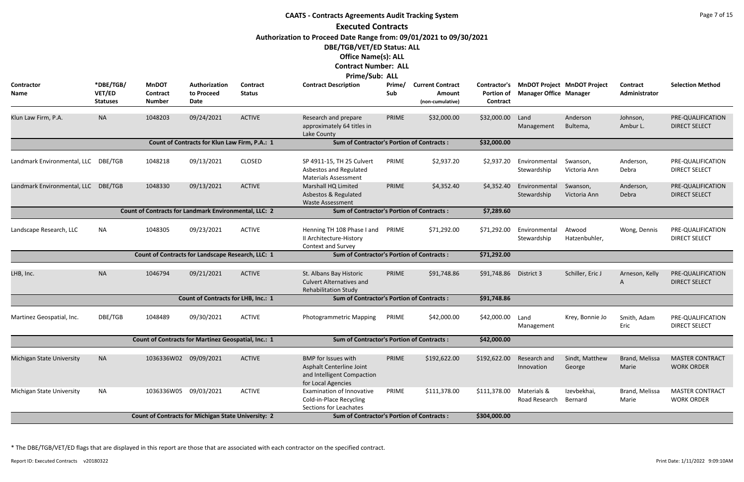|                                     |                                        |                                                              |                                               |                           | <b>CAATS - Contracts Agreements Audit Tracking System</b>                                                                                                     |               |                                                       |                                               |                               |                                    |                           | Page 7 of 15                                |
|-------------------------------------|----------------------------------------|--------------------------------------------------------------|-----------------------------------------------|---------------------------|---------------------------------------------------------------------------------------------------------------------------------------------------------------|---------------|-------------------------------------------------------|-----------------------------------------------|-------------------------------|------------------------------------|---------------------------|---------------------------------------------|
|                                     |                                        |                                                              |                                               |                           | <b>Executed Contracts</b>                                                                                                                                     |               |                                                       |                                               |                               |                                    |                           |                                             |
|                                     |                                        |                                                              |                                               |                           | Authorization to Proceed Date Range from: 09/01/2021 to 09/30/2021<br>DBE/TGB/VET/ED Status: ALL<br><b>Office Name(s): ALL</b><br><b>Contract Number: ALL</b> |               |                                                       |                                               |                               |                                    |                           |                                             |
| Contractor<br>Name                  | *DBE/TGB/<br>VET/ED<br><b>Statuses</b> | <b>MnDOT</b><br><b>Contract</b><br><b>Number</b>             | Authorization<br>to Proceed<br><b>Date</b>    | Contract<br><b>Status</b> | Prime/Sub: ALL<br><b>Contract Description</b>                                                                                                                 | Prime/<br>Sub | <b>Current Contract</b><br>Amount<br>(non-cumulative) | Contractor's<br><b>Portion of</b><br>Contract | <b>Manager Office Manager</b> | <b>MnDOT Project MnDOT Project</b> | Contract<br>Administrator | <b>Selection Method</b>                     |
| Klun Law Firm, P.A.                 | <b>NA</b>                              | 1048203                                                      | 09/24/2021                                    | <b>ACTIVE</b>             | Research and prepare<br>approximately 64 titles in<br>Lake County                                                                                             | PRIME         | \$32,000.00                                           | \$32,000.00                                   | Land<br>Management            | Anderson<br>Bultema,               | Johnson,<br>Ambur L.      | PRE-QUALIFICATION<br><b>DIRECT SELECT</b>   |
|                                     |                                        |                                                              | Count of Contracts for Klun Law Firm, P.A.: 1 |                           | <b>Sum of Contractor's Portion of Contracts:</b>                                                                                                              |               |                                                       | \$32,000.00                                   |                               |                                    |                           |                                             |
| Landmark Environmental, LLC DBE/TGB |                                        | 1048218                                                      | 09/13/2021                                    | <b>CLOSED</b>             | SP 4911-15, TH 25 Culvert<br>Asbestos and Regulated<br><b>Materials Assessment</b>                                                                            | PRIME         | \$2,937.20                                            | \$2,937.20                                    | Environmental<br>Stewardship  | Swanson,<br>Victoria Ann           | Anderson,<br>Debra        | PRE-QUALIFICATION<br><b>DIRECT SELECT</b>   |
| Landmark Environmental, LLC DBE/TGB |                                        | 1048330                                                      | 09/13/2021                                    | <b>ACTIVE</b>             | Marshall HQ Limited<br>Asbestos & Regulated<br><b>Waste Assessment</b>                                                                                        | PRIME         | \$4,352.40                                            | \$4,352.40                                    | Environmental<br>Stewardship  | Swanson,<br>Victoria Ann           | Anderson,<br>Debra        | PRE-QUALIFICATION<br><b>DIRECT SELECT</b>   |
|                                     |                                        | <b>Count of Contracts for Landmark Environmental, LLC: 2</b> |                                               |                           | <b>Sum of Contractor's Portion of Contracts:</b>                                                                                                              |               |                                                       | \$7,289.60                                    |                               |                                    |                           |                                             |
| Landscape Research, LLC             | <b>NA</b>                              | 1048305                                                      | 09/23/2021                                    | <b>ACTIVE</b>             | Henning TH 108 Phase I and<br>II Architecture-History<br><b>Context and Survey</b>                                                                            | PRIME         | \$71,292.00                                           | \$71,292.00                                   | Environmental<br>Stewardship  | Atwood<br>Hatzenbuhler,            | Wong, Dennis              | PRE-QUALIFICATION<br><b>DIRECT SELECT</b>   |
|                                     |                                        | Count of Contracts for Landscape Research, LLC: 1            |                                               |                           | <b>Sum of Contractor's Portion of Contracts:</b>                                                                                                              |               |                                                       | \$71,292.00                                   |                               |                                    |                           |                                             |
| LHB, Inc.                           | <b>NA</b>                              | 1046794                                                      | 09/21/2021                                    | <b>ACTIVE</b>             | St. Albans Bay Historic<br><b>Culvert Alternatives and</b><br><b>Rehabilitation Study</b>                                                                     | PRIME         | \$91,748.86                                           | \$91,748.86                                   | District 3                    | Schiller, Eric J                   | Arneson, Kelly<br>A       | PRE-QUALIFICATION<br><b>DIRECT SELECT</b>   |
|                                     |                                        |                                                              | <b>Count of Contracts for LHB, Inc.: 1</b>    |                           | <b>Sum of Contractor's Portion of Contracts:</b>                                                                                                              |               |                                                       | \$91,748.86                                   |                               |                                    |                           |                                             |
| Martinez Geospatial, Inc.           | DBE/TGB                                | 1048489                                                      | 09/30/2021                                    | <b>ACTIVE</b>             | <b>Photogrammetric Mapping</b>                                                                                                                                | PRIME         | \$42,000.00                                           | \$42,000.00                                   | Land<br>Management            | Krey, Bonnie Jo                    | Smith, Adam<br>Eric       | PRE-QUALIFICATION<br><b>DIRECT SELECT</b>   |
|                                     |                                        | Count of Contracts for Martinez Geospatial, Inc.: 1          |                                               |                           | <b>Sum of Contractor's Portion of Contracts:</b>                                                                                                              |               |                                                       | \$42,000.00                                   |                               |                                    |                           |                                             |
| Michigan State University           | <b>NA</b>                              | 1036336W02 09/09/2021                                        |                                               | <b>ACTIVE</b>             | <b>BMP</b> for Issues with<br>Asphalt Centerline Joint<br>and Intelligent Compaction<br>for Local Agencies                                                    | PRIME         | \$192,622.00                                          | \$192,622.00                                  | Research and<br>Innovation    | Sindt, Matthew<br>George           | Brand, Melissa<br>Marie   | <b>MASTER CONTRACT</b><br><b>WORK ORDER</b> |
| Michigan State University           | <b>NA</b>                              | 1036336W05 09/03/2021                                        |                                               | <b>ACTIVE</b>             | <b>Examination of Innovative</b><br>Cold-in-Place Recycling<br><b>Sections for Leachates</b>                                                                  | PRIME         | \$111,378.00                                          | \$111,378.00                                  | Materials &<br>Road Research  | Izevbekhai,<br>Bernard             | Brand, Melissa<br>Marie   | <b>MASTER CONTRACT</b><br><b>WORK ORDER</b> |
|                                     |                                        | <b>Count of Contracts for Michigan State University: 2</b>   |                                               |                           | <b>Sum of Contractor's Portion of Contracts:</b>                                                                                                              |               |                                                       | \$304,000.00                                  |                               |                                    |                           |                                             |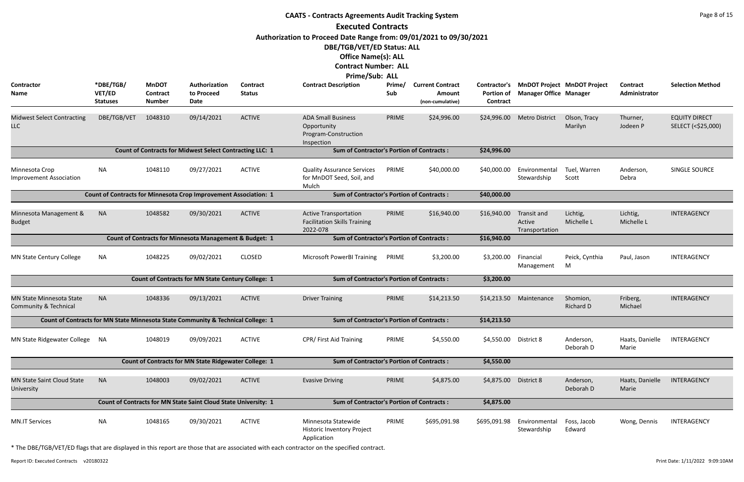|                                                                     |                                        |                                                  |                                                                                  |                           | <b>CAATS - Contracts Agreements Audit Tracking System</b>                                                                      |               |                                                              |                                               |                                         |                                    |                                  | Page 8 of 15                               |
|---------------------------------------------------------------------|----------------------------------------|--------------------------------------------------|----------------------------------------------------------------------------------|---------------------------|--------------------------------------------------------------------------------------------------------------------------------|---------------|--------------------------------------------------------------|-----------------------------------------------|-----------------------------------------|------------------------------------|----------------------------------|--------------------------------------------|
|                                                                     |                                        |                                                  |                                                                                  |                           | <b>Executed Contracts</b>                                                                                                      |               |                                                              |                                               |                                         |                                    |                                  |                                            |
|                                                                     |                                        |                                                  |                                                                                  |                           | Authorization to Proceed Date Range from: 09/01/2021 to 09/30/2021<br>DBE/TGB/VET/ED Status: ALL<br><b>Office Name(s): ALL</b> |               |                                                              |                                               |                                         |                                    |                                  |                                            |
|                                                                     |                                        |                                                  |                                                                                  |                           | <b>Contract Number: ALL</b>                                                                                                    |               |                                                              |                                               |                                         |                                    |                                  |                                            |
| Contractor<br>Name                                                  | *DBE/TGB/<br>VET/ED<br><b>Statuses</b> | <b>MnDOT</b><br><b>Contract</b><br><b>Number</b> | Authorization<br>to Proceed<br>Date                                              | Contract<br><b>Status</b> | Prime/Sub: ALL<br><b>Contract Description</b>                                                                                  | Prime/<br>Sub | <b>Current Contract</b><br><b>Amount</b><br>(non-cumulative) | Contractor's<br><b>Portion of</b><br>Contract | <b>Manager Office Manager</b>           | <b>MnDOT Project MnDOT Project</b> | <b>Contract</b><br>Administrator | <b>Selection Method</b>                    |
| <b>Midwest Select Contracting</b><br><b>LLC</b>                     | DBE/TGB/VET                            | 1048310                                          | 09/14/2021                                                                       | <b>ACTIVE</b>             | <b>ADA Small Business</b><br>Opportunity<br>Program-Construction<br>Inspection                                                 | PRIME         | \$24,996.00                                                  | \$24,996.00                                   | <b>Metro District</b>                   | Olson, Tracy<br>Marilyn            | Thurner,<br>Jodeen P             | <b>EQUITY DIRECT</b><br>SELECT (<\$25,000) |
|                                                                     |                                        |                                                  | <b>Count of Contracts for Midwest Select Contracting LLC: 1</b>                  |                           | <b>Sum of Contractor's Portion of Contracts:</b>                                                                               |               |                                                              | \$24,996.00                                   |                                         |                                    |                                  |                                            |
| Minnesota Crop<br><b>Improvement Association</b>                    | <b>NA</b>                              | 1048110                                          | 09/27/2021                                                                       | <b>ACTIVE</b>             | <b>Quality Assurance Services</b><br>for MnDOT Seed, Soil, and<br>Mulch                                                        | PRIME         | \$40,000.00                                                  | \$40,000.00                                   | Environmental<br>Stewardship            | Tuel, Warren<br>Scott              | Anderson,<br>Debra               | SINGLE SOURCE                              |
|                                                                     |                                        |                                                  | <b>Count of Contracts for Minnesota Crop Improvement Association: 1</b>          |                           | <b>Sum of Contractor's Portion of Contracts:</b>                                                                               |               |                                                              | \$40,000.00                                   |                                         |                                    |                                  |                                            |
| Minnesota Management &<br><b>Budget</b>                             | <b>NA</b>                              | 1048582                                          | 09/30/2021                                                                       | <b>ACTIVE</b>             | <b>Active Transportation</b><br><b>Facilitation Skills Training</b><br>2022-078                                                | PRIME         | \$16,940.00                                                  | \$16,940.00                                   | Transit and<br>Active<br>Transportation | Lichtig,<br>Michelle L             | Lichtig,<br>Michelle L           | INTERAGENCY                                |
|                                                                     |                                        |                                                  | Count of Contracts for Minnesota Management & Budget: 1                          |                           | <b>Sum of Contractor's Portion of Contracts:</b>                                                                               |               |                                                              | \$16,940.00                                   |                                         |                                    |                                  |                                            |
| MN State Century College                                            | <b>NA</b>                              | 1048225                                          | 09/02/2021                                                                       | <b>CLOSED</b>             | Microsoft PowerBI Training                                                                                                     | PRIME         | \$3,200.00                                                   | \$3,200.00                                    | Financial<br>Management                 | Peick, Cynthia<br>M                | Paul, Jason                      | INTERAGENCY                                |
|                                                                     |                                        |                                                  | <b>Count of Contracts for MN State Century College: 1</b>                        |                           | <b>Sum of Contractor's Portion of Contracts:</b>                                                                               |               |                                                              | \$3,200.00                                    |                                         |                                    |                                  |                                            |
| <b>MN State Minnesota State</b><br><b>Community &amp; Technical</b> | <b>NA</b>                              | 1048336                                          | 09/13/2021                                                                       | <b>ACTIVE</b>             | <b>Driver Training</b>                                                                                                         | PRIME         | \$14,213.50                                                  | \$14,213.50                                   | Maintenance                             | Shomion,<br>Richard D              | Friberg,<br>Michael              | INTERAGENCY                                |
|                                                                     |                                        |                                                  | Count of Contracts for MN State Minnesota State Community & Technical College: 1 |                           | <b>Sum of Contractor's Portion of Contracts:</b>                                                                               |               |                                                              | \$14,213.50                                   |                                         |                                    |                                  |                                            |
| MN State Ridgewater College                                         | NA                                     | 1048019                                          | 09/09/2021                                                                       | <b>ACTIVE</b>             | CPR/First Aid Training                                                                                                         | PRIME         | \$4,550.00                                                   | \$4,550.00                                    | District 8                              | Anderson,<br>Deborah D             | Haats, Danielle<br>Marie         | INTERAGENCY                                |
|                                                                     |                                        |                                                  | <b>Count of Contracts for MN State Ridgewater College: 1</b>                     |                           | <b>Sum of Contractor's Portion of Contracts:</b>                                                                               |               |                                                              | \$4,550.00                                    |                                         |                                    |                                  |                                            |
| <b>MN State Saint Cloud State</b><br>University                     | <b>NA</b>                              | 1048003                                          | 09/02/2021                                                                       | <b>ACTIVE</b>             | <b>Evasive Driving</b>                                                                                                         | PRIME         | \$4,875.00                                                   | \$4,875.00                                    | District 8                              | Anderson,<br>Deborah D             | Haats, Danielle<br>Marie         | INTERAGENCY                                |
|                                                                     |                                        |                                                  | Count of Contracts for MN State Saint Cloud State University: 1                  |                           | <b>Sum of Contractor's Portion of Contracts:</b>                                                                               |               |                                                              | \$4,875.00                                    |                                         |                                    |                                  |                                            |
| <b>MN.IT Services</b>                                               | <b>NA</b>                              | 1048165                                          | 09/30/2021                                                                       | <b>ACTIVE</b>             | Minnesota Statewide<br><b>Historic Inventory Project</b><br>Application                                                        | PRIME         | \$695,091.98                                                 | \$695,091.98                                  | Environmental<br>Stewardship            | Foss, Jacob<br>Edward              | Wong, Dennis                     | INTERAGENCY                                |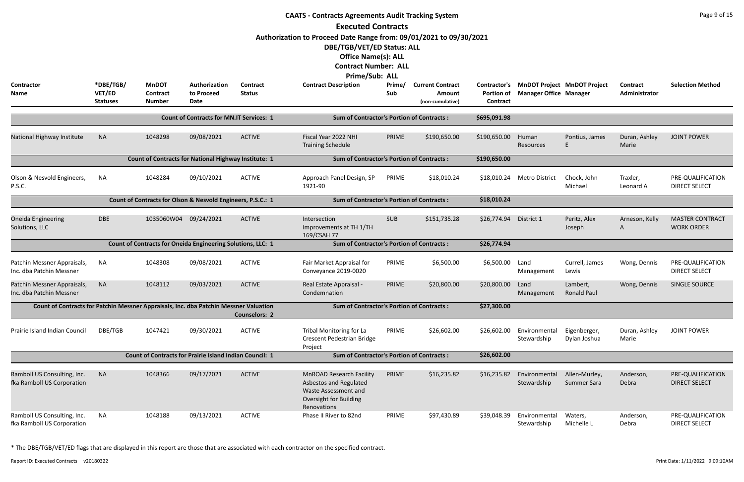|                                                                                       | <b>CAATS - Contracts Agreements Audit Tracking System</b><br><b>Executed Contracts</b><br>Authorization to Proceed Date Range from: 09/01/2021 to 09/30/2021<br>DBE/TGB/VET/ED Status: ALL |                                                                |                                                 |                           |                                                                                                                                          |               |                                                       |                                               |                                                                     |                                |                                  |                                             |  |
|---------------------------------------------------------------------------------------|--------------------------------------------------------------------------------------------------------------------------------------------------------------------------------------------|----------------------------------------------------------------|-------------------------------------------------|---------------------------|------------------------------------------------------------------------------------------------------------------------------------------|---------------|-------------------------------------------------------|-----------------------------------------------|---------------------------------------------------------------------|--------------------------------|----------------------------------|---------------------------------------------|--|
|                                                                                       |                                                                                                                                                                                            |                                                                |                                                 |                           | <b>Office Name(s): ALL</b><br><b>Contract Number: ALL</b><br><b>Prime/Sub: ALL</b>                                                       |               |                                                       |                                               |                                                                     |                                |                                  |                                             |  |
| <b>Contractor</b><br>Name                                                             | *DBE/TGB/<br>VET/ED<br><b>Statuses</b>                                                                                                                                                     | <b>MnDOT</b><br><b>Contract</b><br><b>Number</b>               | Authorization<br>to Proceed<br>Date             | Contract<br><b>Status</b> | <b>Contract Description</b>                                                                                                              | Prime/<br>Sub | <b>Current Contract</b><br>Amount<br>(non-cumulative) | Contractor's<br><b>Portion of</b><br>Contract | <b>MnDOT Project MnDOT Project</b><br><b>Manager Office Manager</b> |                                | <b>Contract</b><br>Administrator | <b>Selection Method</b>                     |  |
|                                                                                       |                                                                                                                                                                                            |                                                                | <b>Count of Contracts for MN.IT Services: 1</b> |                           | <b>Sum of Contractor's Portion of Contracts:</b>                                                                                         |               |                                                       | \$695,091.98                                  |                                                                     |                                |                                  |                                             |  |
| National Highway Institute                                                            | <b>NA</b>                                                                                                                                                                                  | 1048298                                                        | 09/08/2021                                      | <b>ACTIVE</b>             | Fiscal Year 2022 NHI<br><b>Training Schedule</b>                                                                                         | PRIME         | \$190,650.00                                          | \$190,650.00                                  | Human<br>Resources                                                  | Pontius, James                 | Duran, Ashley<br>Marie           | <b>JOINT POWER</b>                          |  |
|                                                                                       |                                                                                                                                                                                            | <b>Count of Contracts for National Highway Institute: 1</b>    |                                                 |                           | <b>Sum of Contractor's Portion of Contracts:</b>                                                                                         |               |                                                       | \$190,650.00                                  |                                                                     |                                |                                  |                                             |  |
| Olson & Nesvold Engineers,<br>P.S.C.                                                  | <b>NA</b>                                                                                                                                                                                  | 1048284                                                        | 09/10/2021                                      | <b>ACTIVE</b>             | Approach Panel Design, SP<br>1921-90                                                                                                     | PRIME         | \$18,010.24                                           | \$18,010.24                                   | <b>Metro District</b>                                               | Chock, John<br>Michael         | Traxler,<br>Leonard A            | PRE-QUALIFICATION<br><b>DIRECT SELECT</b>   |  |
|                                                                                       |                                                                                                                                                                                            | Count of Contracts for Olson & Nesvold Engineers, P.S.C.: 1    |                                                 |                           | <b>Sum of Contractor's Portion of Contracts:</b>                                                                                         |               |                                                       | \$18,010.24                                   |                                                                     |                                |                                  |                                             |  |
| <b>Oneida Engineering</b><br>Solutions, LLC                                           | <b>DBE</b>                                                                                                                                                                                 | 1035060W04 09/24/2021                                          |                                                 | <b>ACTIVE</b>             | Intersection<br>Improvements at TH 1/TH<br>169/CSAH 77                                                                                   | <b>SUB</b>    | \$151,735.28                                          | \$26,774.94                                   | District 1                                                          | Peritz, Alex<br>Joseph         | Arneson, Kelly<br>A              | <b>MASTER CONTRACT</b><br><b>WORK ORDER</b> |  |
|                                                                                       |                                                                                                                                                                                            | Count of Contracts for Oneida Engineering Solutions, LLC: 1    |                                                 |                           | <b>Sum of Contractor's Portion of Contracts:</b>                                                                                         |               |                                                       | \$26,774.94                                   |                                                                     |                                |                                  |                                             |  |
| Patchin Messner Appraisals,<br>Inc. dba Patchin Messner                               | <b>NA</b>                                                                                                                                                                                  | 1048308                                                        | 09/08/2021                                      | <b>ACTIVE</b>             | Fair Market Appraisal for<br>Conveyance 2019-0020                                                                                        | PRIME         | \$6,500.00                                            | \$6,500.00                                    | Land<br>Management                                                  | Currell, James<br>Lewis        | Wong, Dennis                     | PRE-QUALIFICATION<br><b>DIRECT SELECT</b>   |  |
| Patchin Messner Appraisals, NA<br>Inc. dba Patchin Messner                            |                                                                                                                                                                                            | 1048112                                                        | 09/03/2021                                      | <b>ACTIVE</b>             | Real Estate Appraisal -<br>Condemnation                                                                                                  | PRIME         | \$20,800.00                                           | \$20,800.00 Land                              | Management                                                          | Lambert,<br><b>Ronald Paul</b> | Wong, Dennis                     | SINGLE SOURCE                               |  |
| Count of Contracts for Patchin Messner Appraisals, Inc. dba Patchin Messner Valuation |                                                                                                                                                                                            |                                                                |                                                 | <b>Counselors: 2</b>      | <b>Sum of Contractor's Portion of Contracts:</b>                                                                                         |               |                                                       | \$27,300.00                                   |                                                                     |                                |                                  |                                             |  |
| Prairie Island Indian Council                                                         | DBE/TGB                                                                                                                                                                                    | 1047421                                                        | 09/30/2021                                      | <b>ACTIVE</b>             | Tribal Monitoring for La<br>Crescent Pedestrian Bridge<br>Project                                                                        | PRIME         | \$26,602.00                                           | \$26,602.00                                   | Environmental<br>Stewardship                                        | Eigenberger,<br>Dylan Joshua   | Duran, Ashley<br>Marie           | <b>JOINT POWER</b>                          |  |
|                                                                                       |                                                                                                                                                                                            | <b>Count of Contracts for Prairie Island Indian Council: 1</b> |                                                 |                           | <b>Sum of Contractor's Portion of Contracts:</b>                                                                                         |               |                                                       | \$26,602.00                                   |                                                                     |                                |                                  |                                             |  |
| Ramboll US Consulting, Inc.<br>fka Ramboll US Corporation                             | <b>NA</b>                                                                                                                                                                                  | 1048366                                                        | 09/17/2021                                      | <b>ACTIVE</b>             | <b>MnROAD Research Facility</b><br><b>Asbestos and Regulated</b><br>Waste Assessment and<br><b>Oversight for Building</b><br>Renovations | PRIME         | \$16,235.82                                           | \$16,235.82                                   | Environmental<br>Stewardship                                        | Allen-Murley,<br>Summer Sara   | Anderson,<br>Debra               | PRE-QUALIFICATION<br><b>DIRECT SELECT</b>   |  |
| Ramboll US Consulting, Inc.<br>fka Ramboll US Corporation                             | NA                                                                                                                                                                                         | 1048188                                                        | 09/13/2021                                      | <b>ACTIVE</b>             | Phase II River to 82nd                                                                                                                   | PRIME         | \$97,430.89                                           | \$39,048.39                                   | Environmental<br>Stewardship                                        | Waters,<br>Michelle L          | Anderson,<br>Debra               | PRE-QUALIFICATION<br><b>DIRECT SELECT</b>   |  |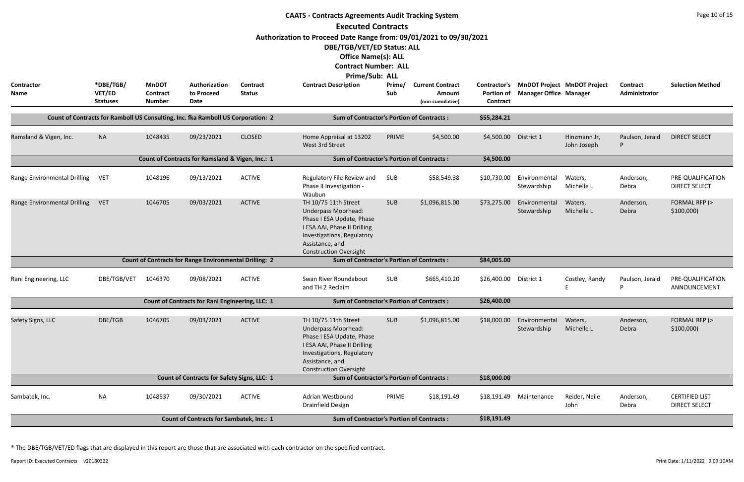|                              |                                        |                                           |                                                                                  |                           | <b>CAATS - Contracts Agreements Audit Tracking System</b>                                                                                                                                                    |               |                                                       |                                                      |                               |                                    |                           | Page 10 of 15                                 |
|------------------------------|----------------------------------------|-------------------------------------------|----------------------------------------------------------------------------------|---------------------------|--------------------------------------------------------------------------------------------------------------------------------------------------------------------------------------------------------------|---------------|-------------------------------------------------------|------------------------------------------------------|-------------------------------|------------------------------------|---------------------------|-----------------------------------------------|
|                              |                                        |                                           |                                                                                  |                           | <b>Executed Contracts</b><br>Authorization to Proceed Date Range from: 09/01/2021 to 09/30/2021<br>DBE/TGB/VET/ED Status: ALL<br><b>Office Name(s): ALL</b><br><b>Contract Number: ALL</b><br>Prime/Sub: ALL |               |                                                       |                                                      |                               |                                    |                           |                                               |
| <b>Contractor</b><br>Name    | *DBE/TGB/<br>VET/ED<br><b>Statuses</b> | <b>MnDOT</b><br>Contract<br><b>Number</b> | Authorization<br>to Proceed<br>Date                                              | Contract<br><b>Status</b> | <b>Contract Description</b>                                                                                                                                                                                  | Prime/<br>Sub | <b>Current Contract</b><br>Amount<br>(non-cumulative) | <b>Contractor's</b><br><b>Portion of</b><br>Contract | <b>Manager Office Manager</b> | <b>MnDOT Project MnDOT Project</b> | Contract<br>Administrator | <b>Selection Method</b>                       |
|                              |                                        |                                           | Count of Contracts for Ramboll US Consulting, Inc. fka Ramboll US Corporation: 2 |                           | <b>Sum of Contractor's Portion of Contracts:</b>                                                                                                                                                             |               |                                                       | \$55,284.21                                          |                               |                                    |                           |                                               |
| Ramsland & Vigen, Inc.       | <b>NA</b>                              | 1048435                                   | 09/23/2021                                                                       | <b>CLOSED</b>             | Home Appraisal at 13202<br>West 3rd Street                                                                                                                                                                   | PRIME         | \$4,500.00                                            | \$4,500.00                                           | District 1                    | Hinzmann Jr,<br>John Joseph        | Paulson, Jerald           | <b>DIRECT SELECT</b>                          |
|                              |                                        |                                           | Count of Contracts for Ramsland & Vigen, Inc.: 1                                 |                           | <b>Sum of Contractor's Portion of Contracts:</b>                                                                                                                                                             |               |                                                       | \$4,500.00                                           |                               |                                    |                           |                                               |
| Range Environmental Drilling | <b>VET</b>                             | 1048196                                   | 09/13/2021                                                                       | <b>ACTIVE</b>             | Regulatory File Review and<br>Phase II Investigation -<br>Waubun                                                                                                                                             | SUB           | \$58,549.38                                           | \$10,730.00                                          | Environmental<br>Stewardship  | Waters,<br>Michelle L              | Anderson,<br>Debra        | PRE-QUALIFICATION<br><b>DIRECT SELECT</b>     |
| Range Environmental Drilling | <b>VET</b>                             | 1046705                                   | 09/03/2021                                                                       | <b>ACTIVE</b>             | TH 10/75 11th Street<br><b>Underpass Moorhead:</b><br>Phase I ESA Update, Phase<br>I ESA AAI, Phase II Drilling<br>Investigations, Regulatory<br>Assistance, and<br><b>Construction Oversight</b>            | <b>SUB</b>    | \$1,096,815.00                                        | \$73,275.00                                          | Environmental<br>Stewardship  | Waters,<br>Michelle L              | Anderson,<br>Debra        | FORMAL RFP (><br>\$100,000                    |
|                              |                                        |                                           | <b>Count of Contracts for Range Environmental Drilling: 2</b>                    |                           | <b>Sum of Contractor's Portion of Contracts:</b>                                                                                                                                                             |               |                                                       | \$84,005.00                                          |                               |                                    |                           |                                               |
| Rani Engineering, LLC        | DBE/TGB/VET                            | 1046370                                   | 09/08/2021                                                                       | <b>ACTIVE</b>             | Swan River Roundabout<br>and TH 2 Reclaim                                                                                                                                                                    | <b>SUB</b>    | \$665,410.20                                          | \$26,400.00 District 1                               |                               | Costley, Randy<br>-F               | Paulson, Jerald<br>P      | PRE-QUALIFICATION<br>ANNOUNCEMENT             |
|                              |                                        |                                           | Count of Contracts for Rani Engineering, LLC: 1                                  |                           | <b>Sum of Contractor's Portion of Contracts:</b>                                                                                                                                                             |               |                                                       | \$26,400.00                                          |                               |                                    |                           |                                               |
| Safety Signs, LLC            | DBE/TGB                                | 1046705                                   | 09/03/2021                                                                       | <b>ACTIVE</b>             | TH 10/75 11th Street<br><b>Underpass Moorhead:</b><br>Phase I ESA Update, Phase<br>I ESA AAI, Phase II Drilling<br>Investigations, Regulatory<br>Assistance, and<br><b>Construction Oversight</b>            | <b>SUB</b>    | \$1,096,815.00                                        | \$18,000.00                                          | Environmental<br>Stewardship  | Waters,<br>Michelle L              | Anderson,<br>Debra        | FORMAL RFP (><br>\$100,000                    |
|                              |                                        |                                           | Count of Contracts for Safety Signs, LLC: 1                                      |                           | <b>Sum of Contractor's Portion of Contracts:</b>                                                                                                                                                             |               |                                                       | \$18,000.00                                          |                               |                                    |                           |                                               |
| Sambatek, Inc.               | <b>NA</b>                              | 1048537                                   | 09/30/2021                                                                       | <b>ACTIVE</b>             | Adrian Westbound<br>Drainfield Design                                                                                                                                                                        | PRIME         | \$18,191.49                                           |                                                      | \$18,191.49 Maintenance       | Reider, Neile<br>John              | Anderson,<br>Debra        | <b>CERTIFIED LIST</b><br><b>DIRECT SELECT</b> |
|                              |                                        |                                           | <b>Count of Contracts for Sambatek, Inc.: 1</b>                                  |                           | <b>Sum of Contractor's Portion of Contracts:</b>                                                                                                                                                             |               |                                                       | \$18,191.49                                          |                               |                                    |                           |                                               |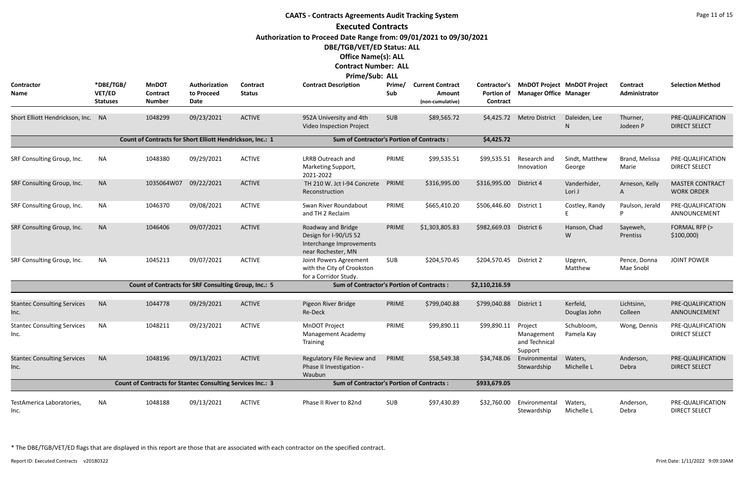|                                            |                                        |                                                  |                                                                   |                                  | <b>CAATS - Contracts Agreements Audit Tracking System</b>                                     |               |                                                       |                               |                                                   |                                          |                           | Page 11 of 15                               |
|--------------------------------------------|----------------------------------------|--------------------------------------------------|-------------------------------------------------------------------|----------------------------------|-----------------------------------------------------------------------------------------------|---------------|-------------------------------------------------------|-------------------------------|---------------------------------------------------|------------------------------------------|---------------------------|---------------------------------------------|
|                                            |                                        |                                                  |                                                                   |                                  | <b>Executed Contracts</b>                                                                     |               |                                                       |                               |                                                   |                                          |                           |                                             |
|                                            |                                        |                                                  |                                                                   |                                  | Authorization to Proceed Date Range from: 09/01/2021 to 09/30/2021                            |               |                                                       |                               |                                                   |                                          |                           |                                             |
|                                            |                                        |                                                  |                                                                   |                                  | DBE/TGB/VET/ED Status: ALL                                                                    |               |                                                       |                               |                                                   |                                          |                           |                                             |
|                                            |                                        |                                                  |                                                                   |                                  | <b>Office Name(s): ALL</b>                                                                    |               |                                                       |                               |                                                   |                                          |                           |                                             |
|                                            |                                        |                                                  |                                                                   |                                  | <b>Contract Number: ALL</b>                                                                   |               |                                                       |                               |                                                   |                                          |                           |                                             |
|                                            |                                        |                                                  |                                                                   |                                  | <b>Prime/Sub: ALL</b>                                                                         |               |                                                       |                               |                                                   |                                          |                           |                                             |
| Contractor<br><b>Name</b>                  | *DBE/TGB/<br>VET/ED<br><b>Statuses</b> | <b>MnDOT</b><br><b>Contract</b><br><b>Number</b> | Authorization<br>to Proceed<br>Date                               | <b>Contract</b><br><b>Status</b> | <b>Contract Description</b>                                                                   | Prime/<br>Sub | <b>Current Contract</b><br>Amount<br>(non-cumulative) | <b>Portion of</b><br>Contract | <b>Manager Office Manager</b>                     | Contractor's MnDOT Project MnDOT Project | Contract<br>Administrator | <b>Selection Method</b>                     |
| Short Elliott Hendrickson, Inc. NA         |                                        | 1048299                                          | 09/23/2021                                                        | <b>ACTIVE</b>                    | 952A University and 4th<br>Video Inspection Project                                           | <b>SUB</b>    | \$89,565.72                                           | \$4,425.72                    | <b>Metro District</b>                             | Daleiden, Lee<br>N                       | Thurner,<br>Jodeen P      | PRE-QUALIFICATION<br><b>DIRECT SELECT</b>   |
|                                            |                                        |                                                  | Count of Contracts for Short Elliott Hendrickson, Inc.: 1         |                                  | <b>Sum of Contractor's Portion of Contracts:</b>                                              |               |                                                       | \$4,425.72                    |                                                   |                                          |                           |                                             |
| SRF Consulting Group, Inc.                 | <b>NA</b>                              | 1048380                                          | 09/29/2021                                                        | <b>ACTIVE</b>                    | <b>LRRB Outreach and</b><br>Marketing Support,<br>2021-2022                                   | PRIME         | \$99,535.51                                           | \$99,535.51                   | Research and<br>Innovation                        | Sindt, Matthew<br>George                 | Brand, Melissa<br>Marie   | PRE-QUALIFICATION<br><b>DIRECT SELECT</b>   |
| SRF Consulting Group, Inc.                 | <b>NA</b>                              | 1035064W07                                       | 09/22/2021                                                        | <b>ACTIVE</b>                    | TH 210 W. Jct I-94 Concrete<br>Reconstruction                                                 | PRIME         | \$316,995.00                                          | \$316,995.00                  | District 4                                        | Vanderhider,<br>Lori J                   | Arneson, Kelly<br>A       | <b>MASTER CONTRACT</b><br><b>WORK ORDER</b> |
| SRF Consulting Group, Inc.                 | <b>NA</b>                              | 1046370                                          | 09/08/2021                                                        | <b>ACTIVE</b>                    | Swan River Roundabout<br>and TH 2 Reclaim                                                     | PRIME         | \$665,410.20                                          | \$506,446.60                  | District 1                                        | Costley, Randy                           | Paulson, Jerald<br>P      | PRE-QUALIFICATION<br>ANNOUNCEMENT           |
| SRF Consulting Group, Inc.                 | <b>NA</b>                              | 1046406                                          | 09/07/2021                                                        | <b>ACTIVE</b>                    | Roadway and Bridge<br>Design for I-90/US 52<br>Interchange Improvements<br>near Rochester, MN | PRIME         | \$1,303,805.83                                        | \$982,669.03                  | District 6                                        | Hanson, Chad<br>W                        | Sayeweh,<br>Prentiss      | FORMAL RFP (><br>\$100,000                  |
| SRF Consulting Group, Inc.                 | <b>NA</b>                              | 1045213                                          | 09/07/2021                                                        | <b>ACTIVE</b>                    | Joint Powers Agreement<br>with the City of Crookston<br>for a Corridor Study.                 | <b>SUB</b>    | \$204,570.45                                          | \$204,570.45                  | District 2                                        | Upgren,<br>Matthew                       | Pence, Donna<br>Mae Snobl | <b>JOINT POWER</b>                          |
|                                            |                                        |                                                  | <b>Count of Contracts for SRF Consulting Group, Inc.: 5</b>       |                                  | <b>Sum of Contractor's Portion of Contracts:</b>                                              |               |                                                       | \$2,110,216.59                |                                                   |                                          |                           |                                             |
| <b>Stantec Consulting Services</b><br>Inc. | <b>NA</b>                              | 1044778                                          | 09/29/2021                                                        | <b>ACTIVE</b>                    | Pigeon River Bridge<br>Re-Deck                                                                | PRIME         | \$799,040.88                                          | \$799,040.88                  | District 1                                        | Kerfeld,<br>Douglas John                 | Lichtsinn,<br>Colleen     | PRE-QUALIFICATION<br>ANNOUNCEMENT           |
| <b>Stantec Consulting Services</b><br>Inc. | NA                                     | 1048211                                          | 09/23/2021                                                        | <b>ACTIVE</b>                    | MnDOT Project<br><b>Management Academy</b><br>Training                                        | PRIME         | \$99,890.11                                           | \$99,890.11                   | Project<br>Management<br>and Technical<br>Support | Schubloom,<br>Pamela Kay                 | Wong, Dennis              | PRE-QUALIFICATION<br><b>DIRECT SELECT</b>   |
| <b>Stantec Consulting Services</b><br>Inc. | <b>NA</b>                              | 1048196                                          | 09/13/2021                                                        | <b>ACTIVE</b>                    | Regulatory File Review and<br>Phase II Investigation -<br>Waubun                              | PRIME         | \$58,549.38                                           | \$34,748.06                   | Environmental<br>Stewardship                      | Waters,<br>Michelle L                    | Anderson,<br>Debra        | PRE-QUALIFICATION<br><b>DIRECT SELECT</b>   |
|                                            |                                        |                                                  | <b>Count of Contracts for Stantec Consulting Services Inc.: 3</b> |                                  | <b>Sum of Contractor's Portion of Contracts:</b>                                              |               |                                                       | \$933,679.05                  |                                                   |                                          |                           |                                             |
| TestAmerica Laboratories,<br>Inc.          | NA                                     | 1048188                                          | 09/13/2021                                                        | <b>ACTIVE</b>                    | Phase II River to 82nd                                                                        | SUB           | \$97,430.89                                           | \$32,760.00                   | Environmental<br>Stewardship                      | Waters,<br>Michelle L                    | Anderson,<br>Debra        | PRE-QUALIFICATION<br><b>DIRECT SELECT</b>   |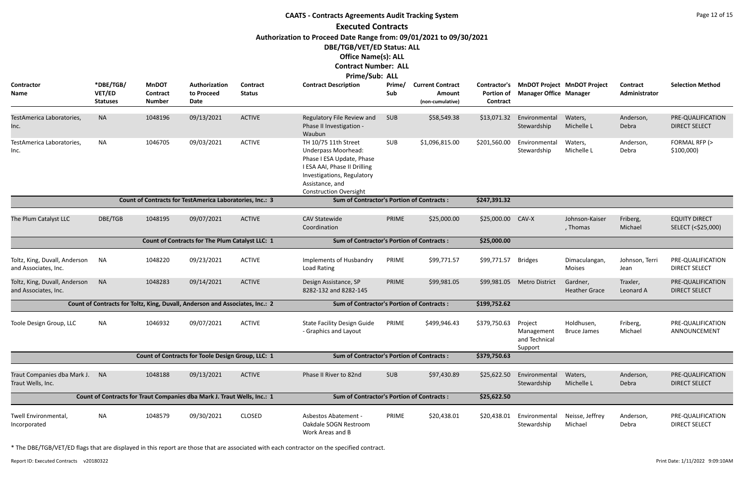|                                                          |                                        |                                           |                                                                              |                           | <b>CAATS - Contracts Agreements Audit Tracking System</b>                                                                                                                                         |               |                                                       |                               |                                                   |                                          |                                  | Page 12 of 15                              |
|----------------------------------------------------------|----------------------------------------|-------------------------------------------|------------------------------------------------------------------------------|---------------------------|---------------------------------------------------------------------------------------------------------------------------------------------------------------------------------------------------|---------------|-------------------------------------------------------|-------------------------------|---------------------------------------------------|------------------------------------------|----------------------------------|--------------------------------------------|
|                                                          |                                        |                                           |                                                                              |                           | <b>Executed Contracts</b>                                                                                                                                                                         |               |                                                       |                               |                                                   |                                          |                                  |                                            |
|                                                          |                                        |                                           |                                                                              |                           | Authorization to Proceed Date Range from: 09/01/2021 to 09/30/2021<br>DBE/TGB/VET/ED Status: ALL<br><b>Office Name(s): ALL</b><br><b>Contract Number: ALL</b><br>Prime/Sub: ALL                   |               |                                                       |                               |                                                   |                                          |                                  |                                            |
| <b>Contractor</b><br>Name                                | *DBE/TGB/<br>VET/ED<br><b>Statuses</b> | <b>MnDOT</b><br>Contract<br><b>Number</b> | Authorization<br>to Proceed<br>Date                                          | Contract<br><b>Status</b> | <b>Contract Description</b>                                                                                                                                                                       | Prime/<br>Sub | <b>Current Contract</b><br>Amount<br>(non-cumulative) | <b>Portion of</b><br>Contract | <b>Manager Office Manager</b>                     | Contractor's MnDOT Project MnDOT Project | <b>Contract</b><br>Administrator | <b>Selection Method</b>                    |
| TestAmerica Laboratories,<br>Inc.                        | <b>NA</b>                              | 1048196                                   | 09/13/2021                                                                   | <b>ACTIVE</b>             | Regulatory File Review and<br>Phase II Investigation -<br>Waubun                                                                                                                                  | <b>SUB</b>    | \$58,549.38                                           | \$13,071.32                   | Environmental<br>Stewardship                      | Waters,<br>Michelle L                    | Anderson,<br>Debra               | PRE-QUALIFICATION<br><b>DIRECT SELECT</b>  |
| TestAmerica Laboratories,<br>Inc.                        | NA                                     | 1046705                                   | 09/03/2021                                                                   | <b>ACTIVE</b>             | TH 10/75 11th Street<br><b>Underpass Moorhead:</b><br>Phase I ESA Update, Phase<br>I ESA AAI, Phase II Drilling<br>Investigations, Regulatory<br>Assistance, and<br><b>Construction Oversight</b> | SUB           | \$1,096,815.00                                        | \$201,560.00                  | Environmental<br>Stewardship                      | Waters,<br>Michelle L                    | Anderson,<br>Debra               | FORMAL RFP (><br>\$100,000                 |
|                                                          |                                        |                                           | Count of Contracts for TestAmerica Laboratories, Inc.: 3                     |                           | <b>Sum of Contractor's Portion of Contracts:</b>                                                                                                                                                  |               |                                                       | \$247,391.32                  |                                                   |                                          |                                  |                                            |
| The Plum Catalyst LLC                                    | DBE/TGB                                | 1048195                                   | 09/07/2021                                                                   | <b>ACTIVE</b>             | <b>CAV Statewide</b><br>Coordination                                                                                                                                                              | PRIME         | \$25,000.00                                           | \$25,000.00                   | CAV-X                                             | Johnson-Kaiser<br>, Thomas               | Friberg,<br>Michael              | <b>EQUITY DIRECT</b><br>SELECT (<\$25,000) |
|                                                          |                                        |                                           | Count of Contracts for The Plum Catalyst LLC: 1                              |                           | <b>Sum of Contractor's Portion of Contracts:</b>                                                                                                                                                  |               |                                                       | \$25,000.00                   |                                                   |                                          |                                  |                                            |
| Toltz, King, Duvall, Anderson<br>and Associates, Inc.    | NA                                     | 1048220                                   | 09/23/2021                                                                   | <b>ACTIVE</b>             | Implements of Husbandry<br>Load Rating                                                                                                                                                            | PRIME         | \$99,771.57                                           | \$99,771.57                   | <b>Bridges</b>                                    | Dimaculangan,<br><b>Moises</b>           | Johnson, Terri<br>Jean           | PRE-QUALIFICATION<br><b>DIRECT SELECT</b>  |
| Toltz, King, Duvall, Anderson NA<br>and Associates, Inc. |                                        | 1048283                                   | 09/14/2021                                                                   | <b>ACTIVE</b>             | Design Assistance, SP<br>8282-132 and 8282-145                                                                                                                                                    | PRIME         | \$99,981.05                                           |                               | \$99,981.05 Metro District                        | Gardner,<br><b>Heather Grace</b>         | Traxler,<br>Leonard A            | PRE-QUALIFICATION<br><b>DIRECT SELECT</b>  |
|                                                          |                                        |                                           | Count of Contracts for Toltz, King, Duvall, Anderson and Associates, Inc.: 2 |                           | <b>Sum of Contractor's Portion of Contracts:</b>                                                                                                                                                  |               |                                                       | \$199,752.62                  |                                                   |                                          |                                  |                                            |
| Toole Design Group, LLC                                  | <b>NA</b>                              | 1046932                                   | 09/07/2021                                                                   | <b>ACTIVE</b>             | <b>State Facility Design Guide</b><br>- Graphics and Layout                                                                                                                                       | PRIME         | \$499,946.43                                          | \$379,750.63                  | Project<br>Management<br>and Technical<br>Support | Holdhusen,<br><b>Bruce James</b>         | Friberg,<br>Michael              | PRE-QUALIFICATION<br>ANNOUNCEMENT          |
|                                                          |                                        |                                           | Count of Contracts for Toole Design Group, LLC: 1                            |                           | <b>Sum of Contractor's Portion of Contracts:</b>                                                                                                                                                  |               |                                                       | \$379,750.63                  |                                                   |                                          |                                  |                                            |
| Traut Companies dba Mark J. NA<br>Traut Wells, Inc.      |                                        | 1048188                                   | 09/13/2021                                                                   | <b>ACTIVE</b>             | Phase II River to 82nd                                                                                                                                                                            | <b>SUB</b>    | \$97,430.89                                           | \$25,622.50                   | Environmental<br>Stewardship                      | Waters,<br>Michelle L                    | Anderson,<br>Debra               | PRE-QUALIFICATION<br><b>DIRECT SELECT</b>  |
|                                                          |                                        |                                           | Count of Contracts for Traut Companies dba Mark J. Traut Wells, Inc.: 1      |                           | <b>Sum of Contractor's Portion of Contracts:</b>                                                                                                                                                  |               |                                                       | \$25,622.50                   |                                                   |                                          |                                  |                                            |
| Twell Environmental,<br>Incorporated                     | NA                                     | 1048579                                   | 09/30/2021                                                                   | <b>CLOSED</b>             | Asbestos Abatement -<br>Oakdale SOGN Restroom<br>Work Areas and B                                                                                                                                 | PRIME         | \$20,438.01                                           | \$20,438.01                   | Environmental<br>Stewardship                      | Neisse, Jeffrey<br>Michael               | Anderson,<br>Debra               | PRE-QUALIFICATION<br><b>DIRECT SELECT</b>  |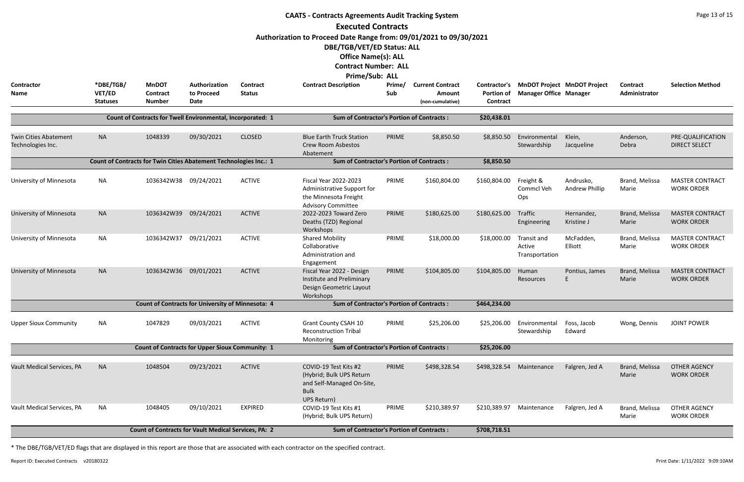|                                                   |                                        |                                                                   |                                     |                           | <b>CAATS - Contracts Agreements Audit Tracking System</b><br><b>Executed Contracts</b>                                                                                          |               |                                                              |                                                      |                                                                     |                             |                                  | Page 13 of 15                               |
|---------------------------------------------------|----------------------------------------|-------------------------------------------------------------------|-------------------------------------|---------------------------|---------------------------------------------------------------------------------------------------------------------------------------------------------------------------------|---------------|--------------------------------------------------------------|------------------------------------------------------|---------------------------------------------------------------------|-----------------------------|----------------------------------|---------------------------------------------|
|                                                   |                                        |                                                                   |                                     |                           | Authorization to Proceed Date Range from: 09/01/2021 to 09/30/2021<br>DBE/TGB/VET/ED Status: ALL<br><b>Office Name(s): ALL</b><br><b>Contract Number: ALL</b><br>Prime/Sub: ALL |               |                                                              |                                                      |                                                                     |                             |                                  |                                             |
| <b>Contractor</b><br>Name                         | *DBE/TGB/<br>VET/ED<br><b>Statuses</b> | <b>MnDOT</b><br>Contract<br><b>Number</b>                         | Authorization<br>to Proceed<br>Date | Contract<br><b>Status</b> | <b>Contract Description</b>                                                                                                                                                     | Prime/<br>Sub | <b>Current Contract</b><br><b>Amount</b><br>(non-cumulative) | Contractor's<br><b>Portion of</b><br><b>Contract</b> | <b>MnDOT Project MnDOT Project</b><br><b>Manager Office Manager</b> |                             | <b>Contract</b><br>Administrator | <b>Selection Method</b>                     |
|                                                   |                                        | Count of Contracts for Twell Environmental, Incorporated: 1       |                                     |                           | <b>Sum of Contractor's Portion of Contracts:</b>                                                                                                                                |               |                                                              | \$20,438.01                                          |                                                                     |                             |                                  |                                             |
| <b>Twin Cities Abatement</b><br>Technologies Inc. | <b>NA</b>                              | 1048339                                                           | 09/30/2021                          | <b>CLOSED</b>             | <b>Blue Earth Truck Station</b><br><b>Crew Room Asbestos</b><br>Abatement                                                                                                       | PRIME         | \$8,850.50                                                   | \$8,850.50                                           | Environmental<br>Stewardship                                        | Klein,<br>Jacqueline        | Anderson,<br>Debra               | PRE-QUALIFICATION<br><b>DIRECT SELECT</b>   |
|                                                   |                                        | Count of Contracts for Twin Cities Abatement Technologies Inc.: 1 |                                     |                           | <b>Sum of Contractor's Portion of Contracts:</b>                                                                                                                                |               |                                                              | \$8,850.50                                           |                                                                     |                             |                                  |                                             |
| University of Minnesota                           | <b>NA</b>                              | 1036342W38 09/24/2021                                             |                                     | <b>ACTIVE</b>             | <b>Fiscal Year 2022-2023</b><br>Administrative Support for<br>the Minnesota Freight<br><b>Advisory Committee</b>                                                                | PRIME         | \$160,804.00                                                 | \$160,804.00                                         | Freight &<br>Commcl Veh<br>Ops                                      | Andrusko,<br>Andrew Phillip | Brand, Melissa<br>Marie          | <b>MASTER CONTRACT</b><br><b>WORK ORDER</b> |
| University of Minnesota                           | <b>NA</b>                              | 1036342W39                                                        | 09/24/2021                          | <b>ACTIVE</b>             | 2022-2023 Toward Zero<br>Deaths (TZD) Regional<br>Workshops                                                                                                                     | PRIME         | \$180,625.00                                                 | \$180,625.00                                         | Traffic<br>Engineering                                              | Hernandez,<br>Kristine J    | Brand, Melissa<br>Marie          | <b>MASTER CONTRACT</b><br><b>WORK ORDER</b> |
| University of Minnesota                           | <b>NA</b>                              | 1036342W37                                                        | 09/21/2021                          | <b>ACTIVE</b>             | <b>Shared Mobility</b><br>Collaborative<br>Administration and<br>Engagement                                                                                                     | PRIME         | \$18,000.00                                                  | \$18,000.00                                          | Transit and<br>Active<br>Transportation                             | McFadden,<br>Elliott        | Brand, Melissa<br>Marie          | <b>MASTER CONTRACT</b><br><b>WORK ORDER</b> |
| University of Minnesota                           | <b>NA</b>                              | 1036342W36                                                        | 09/01/2021                          | <b>ACTIVE</b>             | Fiscal Year 2022 - Design<br>Institute and Preliminary<br>Design Geometric Layout<br>Workshops                                                                                  | PRIME         | \$104,805.00                                                 | \$104,805.00                                         | Human<br>Resources                                                  | Pontius, James              | Brand, Melissa<br>Marie          | <b>MASTER CONTRACT</b><br><b>WORK ORDER</b> |
|                                                   |                                        | <b>Count of Contracts for University of Minnesota: 4</b>          |                                     |                           | <b>Sum of Contractor's Portion of Contracts:</b>                                                                                                                                |               |                                                              | \$464,234.00                                         |                                                                     |                             |                                  |                                             |
| <b>Upper Sioux Community</b>                      | NA                                     | 1047829                                                           | 09/03/2021                          | <b>ACTIVE</b>             | Grant County CSAH 10<br><b>Reconstruction Tribal</b><br>Monitoring                                                                                                              | PRIME         | \$25,206.00                                                  | \$25,206.00                                          | Environmental<br>Stewardship                                        | Foss, Jacob<br>Edward       | Wong, Dennis                     | <b>JOINT POWER</b>                          |
|                                                   |                                        | <b>Count of Contracts for Upper Sioux Community: 1</b>            |                                     |                           | <b>Sum of Contractor's Portion of Contracts:</b>                                                                                                                                |               |                                                              | \$25,206.00                                          |                                                                     |                             |                                  |                                             |
| Vault Medical Services, PA                        | <b>NA</b>                              | 1048504                                                           | 09/23/2021                          | <b>ACTIVE</b>             | COVID-19 Test Kits #2<br>(Hybrid; Bulk UPS Return<br>and Self-Managed On-Site,<br><b>Bulk</b><br><b>UPS Return)</b>                                                             | PRIME         | \$498,328.54                                                 | \$498,328.54                                         | Maintenance                                                         | Falgren, Jed A              | Brand, Melissa<br>Marie          | <b>OTHER AGENCY</b><br><b>WORK ORDER</b>    |
| Vault Medical Services, PA                        | <b>NA</b>                              | 1048405                                                           | 09/10/2021                          | <b>EXPIRED</b>            | COVID-19 Test Kits #1<br>(Hybrid; Bulk UPS Return)                                                                                                                              | PRIME         | \$210,389.97                                                 | \$210,389.97                                         | Maintenance                                                         | Falgren, Jed A              | Brand, Melissa<br>Marie          | <b>OTHER AGENCY</b><br><b>WORK ORDER</b>    |
|                                                   |                                        | <b>Count of Contracts for Vault Medical Services, PA: 2</b>       |                                     |                           | <b>Sum of Contractor's Portion of Contracts:</b>                                                                                                                                |               |                                                              | \$708,718.51                                         |                                                                     |                             |                                  |                                             |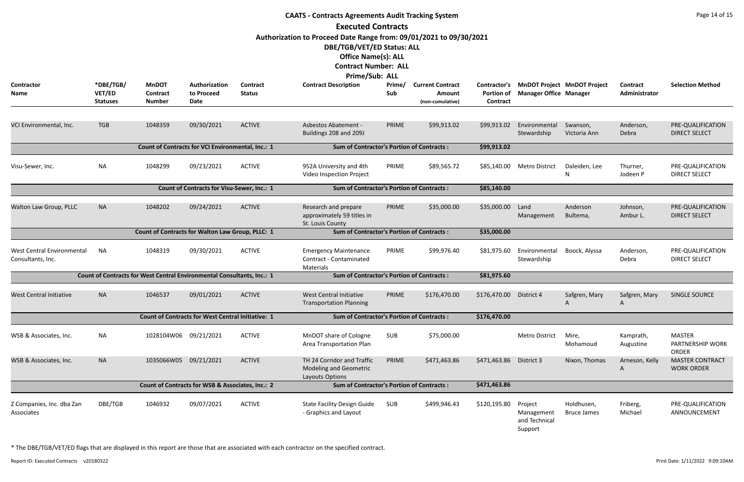|                                                        |                                               |                                                                        |                                                          |                                  | <b>CAATS - Contracts Agreements Audit Tracking System</b>                                                                                                                                                    |               |                                                              |                                               |                                                   |                                    |                           | Page 14 of 15                                     |
|--------------------------------------------------------|-----------------------------------------------|------------------------------------------------------------------------|----------------------------------------------------------|----------------------------------|--------------------------------------------------------------------------------------------------------------------------------------------------------------------------------------------------------------|---------------|--------------------------------------------------------------|-----------------------------------------------|---------------------------------------------------|------------------------------------|---------------------------|---------------------------------------------------|
|                                                        |                                               |                                                                        |                                                          |                                  | <b>Executed Contracts</b><br>Authorization to Proceed Date Range from: 09/01/2021 to 09/30/2021<br>DBE/TGB/VET/ED Status: ALL<br><b>Office Name(s): ALL</b><br><b>Contract Number: ALL</b><br>Prime/Sub: ALL |               |                                                              |                                               |                                                   |                                    |                           |                                                   |
| <b>Contractor</b><br><b>Name</b>                       | *DBE/TGB/<br><b>VET/ED</b><br><b>Statuses</b> | <b>MnDOT</b><br>Contract<br><b>Number</b>                              | Authorization<br>to Proceed<br>Date                      | <b>Contract</b><br><b>Status</b> | <b>Contract Description</b>                                                                                                                                                                                  | Prime/<br>Sub | <b>Current Contract</b><br><b>Amount</b><br>(non-cumulative) | Contractor's<br><b>Portion of</b><br>Contract | <b>Manager Office Manager</b>                     | <b>MnDOT Project MnDOT Project</b> | Contract<br>Administrator | <b>Selection Method</b>                           |
| VCI Environmental, Inc.                                | <b>TGB</b>                                    | 1048359                                                                | 09/30/2021                                               | <b>ACTIVE</b>                    | <b>Asbestos Abatement -</b><br>Buildings 208 and 209J                                                                                                                                                        | PRIME         | \$99,913.02                                                  | \$99,913.02                                   | Environmental<br>Stewardship                      | Swanson,<br>Victoria Ann           | Anderson,<br>Debra        | PRE-QUALIFICATION<br><b>DIRECT SELECT</b>         |
|                                                        |                                               | Count of Contracts for VCI Environmental, Inc.: 1                      |                                                          |                                  | <b>Sum of Contractor's Portion of Contracts:</b>                                                                                                                                                             |               |                                                              | \$99,913.02                                   |                                                   |                                    |                           |                                                   |
| Visu-Sewer, Inc.                                       | <b>NA</b>                                     | 1048299                                                                | 09/23/2021                                               | <b>ACTIVE</b>                    | 952A University and 4th<br>Video Inspection Project                                                                                                                                                          | PRIME         | \$89,565.72                                                  | \$85,140.00                                   | Metro District                                    | Daleiden, Lee<br>N                 | Thurner,<br>Jodeen P      | PRE-QUALIFICATION<br><b>DIRECT SELECT</b>         |
|                                                        |                                               |                                                                        | <b>Count of Contracts for Visu-Sewer, Inc.: 1</b>        |                                  | <b>Sum of Contractor's Portion of Contracts:</b>                                                                                                                                                             |               |                                                              | \$85,140.00                                   |                                                   |                                    |                           |                                                   |
| Walton Law Group, PLLC                                 | <b>NA</b>                                     | 1048202                                                                | 09/24/2021                                               | <b>ACTIVE</b>                    | Research and prepare<br>approximately 59 titles in<br>St. Louis County                                                                                                                                       | PRIME         | \$35,000.00                                                  | \$35,000.00                                   | Land<br>Management                                | Anderson<br>Bultema,               | Johnson,<br>Ambur L.      | PRE-QUALIFICATION<br><b>DIRECT SELECT</b>         |
|                                                        |                                               | Count of Contracts for Walton Law Group, PLLC: 1                       |                                                          |                                  | <b>Sum of Contractor's Portion of Contracts:</b>                                                                                                                                                             |               |                                                              | \$35,000.00                                   |                                                   |                                    |                           |                                                   |
| <b>West Central Environmental</b><br>Consultants, Inc. | NA                                            | 1048319                                                                | 09/30/2021                                               | <b>ACTIVE</b>                    | <b>Emergency Maintenance</b><br>Contract - Contaminated<br>Materials                                                                                                                                         | PRIME         | \$99,976.40                                                  | \$81,975.60                                   | Environmental<br>Stewardship                      | Boock, Alyssa                      | Anderson,<br>Debra        | PRE-QUALIFICATION<br><b>DIRECT SELECT</b>         |
|                                                        |                                               | Count of Contracts for West Central Environmental Consultants, Inc.: 1 |                                                          |                                  | <b>Sum of Contractor's Portion of Contracts:</b>                                                                                                                                                             |               |                                                              | \$81,975.60                                   |                                                   |                                    |                           |                                                   |
| <b>West Central Initiative</b>                         | <b>NA</b>                                     | 1046537                                                                | 09/01/2021                                               | <b>ACTIVE</b>                    | <b>West Central Initiative</b><br><b>Transportation Planning</b>                                                                                                                                             | PRIME         | \$176,470.00                                                 | \$176,470.00                                  | District 4                                        | Safgren, Mary                      | Safgren, Mary<br>A        | <b>SINGLE SOURCE</b>                              |
|                                                        |                                               |                                                                        | <b>Count of Contracts for West Central Initiative: 1</b> |                                  | <b>Sum of Contractor's Portion of Contracts:</b>                                                                                                                                                             |               |                                                              | \$176,470.00                                  |                                                   |                                    |                           |                                                   |
| WSB & Associates, Inc.                                 | <b>NA</b>                                     | 1028104W06 09/21/2021                                                  |                                                          | <b>ACTIVE</b>                    | MnDOT share of Cologne<br>Area Transportation Plan                                                                                                                                                           | SUB           | \$75,000.00                                                  |                                               | Metro District                                    | Mire,<br>Mohamoud                  | Kamprath,<br>Augustine    | <b>MASTER</b><br>PARTNERSHIP WORK<br><b>ORDER</b> |
| WSB & Associates, Inc.                                 | <b>NA</b>                                     | 1035066W05                                                             | 09/21/2021                                               | <b>ACTIVE</b>                    | TH 24 Corridor and Traffic<br><b>Modeling and Geometric</b><br>Layouts Options                                                                                                                               | PRIME         | \$471,463.86                                                 | \$471,463.86                                  | District 3                                        | Nixon, Thomas                      | Arneson, Kelly<br>A       | <b>MASTER CONTRACT</b><br><b>WORK ORDER</b>       |
|                                                        |                                               |                                                                        | Count of Contracts for WSB & Associates, Inc.: 2         |                                  | <b>Sum of Contractor's Portion of Contracts:</b>                                                                                                                                                             |               |                                                              | \$471,463.86                                  |                                                   |                                    |                           |                                                   |
| Z Companies, Inc. dba Zan<br>Associates                | DBE/TGB                                       | 1046932                                                                | 09/07/2021                                               | <b>ACTIVE</b>                    | <b>State Facility Design Guide</b><br>- Graphics and Layout                                                                                                                                                  | SUB           | \$499,946.43                                                 | \$120,195.80                                  | Project<br>Management<br>and Technical<br>Support | Holdhusen,<br><b>Bruce James</b>   | Friberg,<br>Michael       | PRE-QUALIFICATION<br>ANNOUNCEMENT                 |

Report ID: Executed Contracts v20180322 9:09:10AM